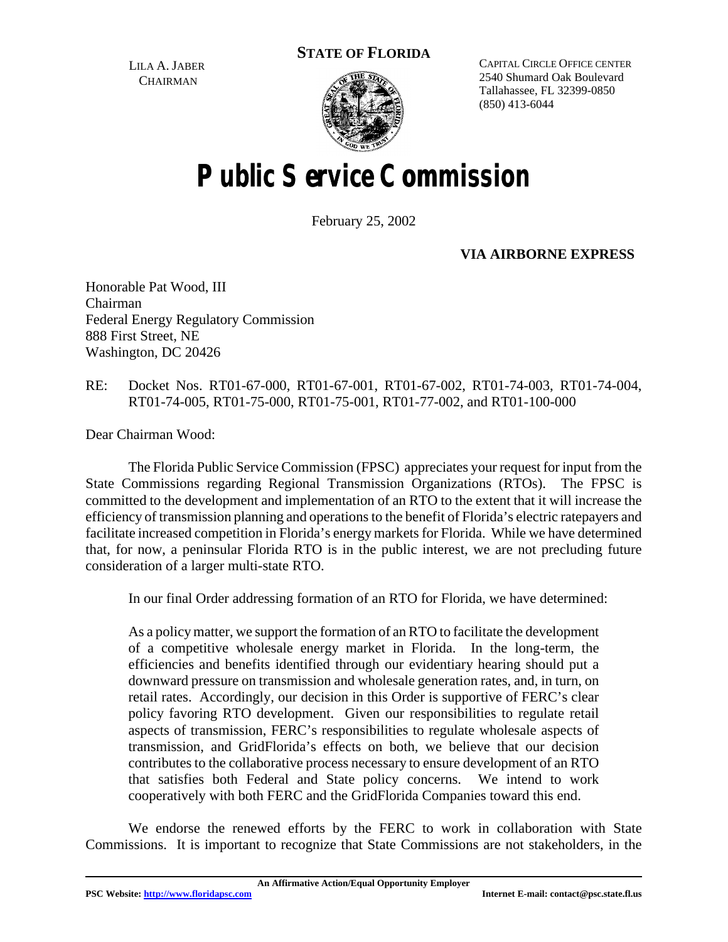**STATE OF FLORIDA**

LILA A. JABER **CHAIRMAN** 



CAPITAL CIRCLE OFFICE CENTER 2540 Shumard Oak Boulevard Tallahassee, FL 32399-0850 (850) 413-6044

# **Public Service Commission**

February 25, 2002

**VIA AIRBORNE EXPRESS**

Honorable Pat Wood, III Chairman Federal Energy Regulatory Commission 888 First Street, NE Washington, DC 20426

RE: Docket Nos. RT01-67-000, RT01-67-001, RT01-67-002, RT01-74-003, RT01-74-004, RT01-74-005, RT01-75-000, RT01-75-001, RT01-77-002, and RT01-100-000

Dear Chairman Wood:

The Florida Public Service Commission (FPSC) appreciates your request for input from the State Commissions regarding Regional Transmission Organizations (RTOs). The FPSC is committed to the development and implementation of an RTO to the extent that it will increase the efficiency of transmission planning and operations to the benefit of Florida's electric ratepayers and facilitate increased competition in Florida's energy markets for Florida. While we have determined that, for now, a peninsular Florida RTO is in the public interest, we are not precluding future consideration of a larger multi-state RTO.

In our final Order addressing formation of an RTO for Florida, we have determined:

As a policymatter, we support the formation of an RTO to facilitate the development of a competitive wholesale energy market in Florida. In the long-term, the efficiencies and benefits identified through our evidentiary hearing should put a downward pressure on transmission and wholesale generation rates, and, in turn, on retail rates. Accordingly, our decision in this Order is supportive of FERC's clear policy favoring RTO development. Given our responsibilities to regulate retail aspects of transmission, FERC's responsibilities to regulate wholesale aspects of transmission, and GridFlorida's effects on both, we believe that our decision contributes to the collaborative process necessary to ensure development of an RTO that satisfies both Federal and State policy concerns. We intend to work cooperatively with both FERC and the GridFlorida Companies toward this end.

We endorse the renewed efforts by the FERC to work in collaboration with State Commissions. It is important to recognize that State Commissions are not stakeholders, in the

**An Affirmative Action/Equal Opportunity Employer**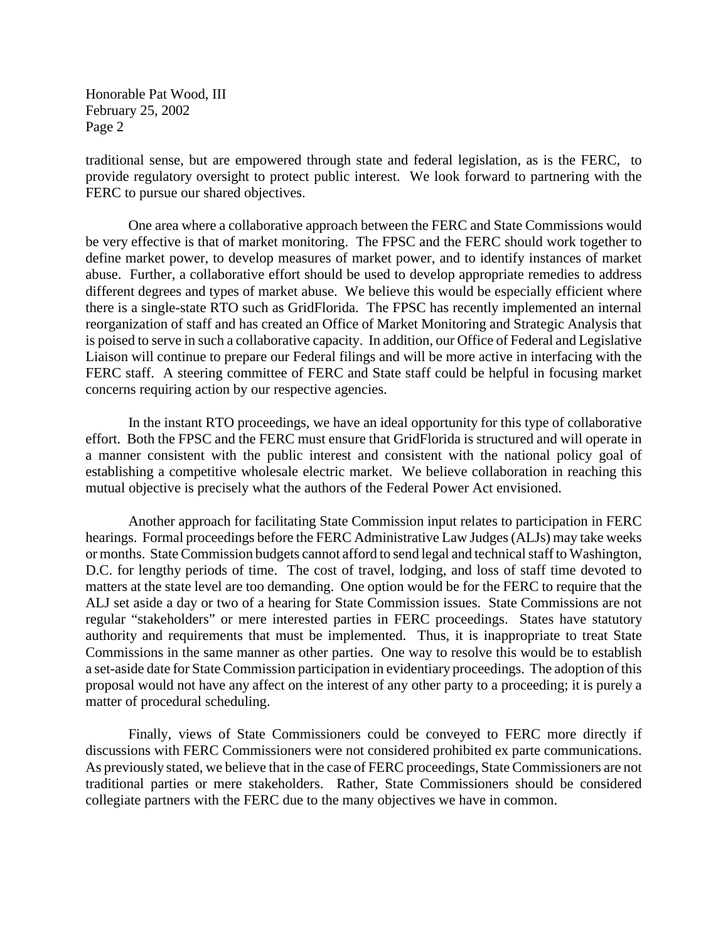Honorable Pat Wood, III February 25, 2002 Page 2

traditional sense, but are empowered through state and federal legislation, as is the FERC, to provide regulatory oversight to protect public interest. We look forward to partnering with the FERC to pursue our shared objectives.

One area where a collaborative approach between the FERC and State Commissions would be very effective is that of market monitoring. The FPSC and the FERC should work together to define market power, to develop measures of market power, and to identify instances of market abuse. Further, a collaborative effort should be used to develop appropriate remedies to address different degrees and types of market abuse. We believe this would be especially efficient where there is a single-state RTO such as GridFlorida. The FPSC has recently implemented an internal reorganization of staff and has created an Office of Market Monitoring and Strategic Analysis that is poised to serve in such a collaborative capacity. In addition, our Office of Federal and Legislative Liaison will continue to prepare our Federal filings and will be more active in interfacing with the FERC staff. A steering committee of FERC and State staff could be helpful in focusing market concerns requiring action by our respective agencies.

In the instant RTO proceedings, we have an ideal opportunity for this type of collaborative effort. Both the FPSC and the FERC must ensure that GridFlorida is structured and will operate in a manner consistent with the public interest and consistent with the national policy goal of establishing a competitive wholesale electric market. We believe collaboration in reaching this mutual objective is precisely what the authors of the Federal Power Act envisioned.

Another approach for facilitating State Commission input relates to participation in FERC hearings. Formal proceedings before the FERC Administrative Law Judges (ALJs) may take weeks or months. State Commission budgets cannot afford to send legal and technical staff to Washington, D.C. for lengthy periods of time. The cost of travel, lodging, and loss of staff time devoted to matters at the state level are too demanding. One option would be for the FERC to require that the ALJ set aside a day or two of a hearing for State Commission issues. State Commissions are not regular "stakeholders" or mere interested parties in FERC proceedings. States have statutory authority and requirements that must be implemented. Thus, it is inappropriate to treat State Commissions in the same manner as other parties. One way to resolve this would be to establish a set-aside date for State Commission participation in evidentiary proceedings. The adoption of this proposal would not have any affect on the interest of any other party to a proceeding; it is purely a matter of procedural scheduling.

Finally, views of State Commissioners could be conveyed to FERC more directly if discussions with FERC Commissioners were not considered prohibited ex parte communications. As previously stated, we believe that in the case of FERC proceedings, State Commissioners are not traditional parties or mere stakeholders. Rather, State Commissioners should be considered collegiate partners with the FERC due to the many objectives we have in common.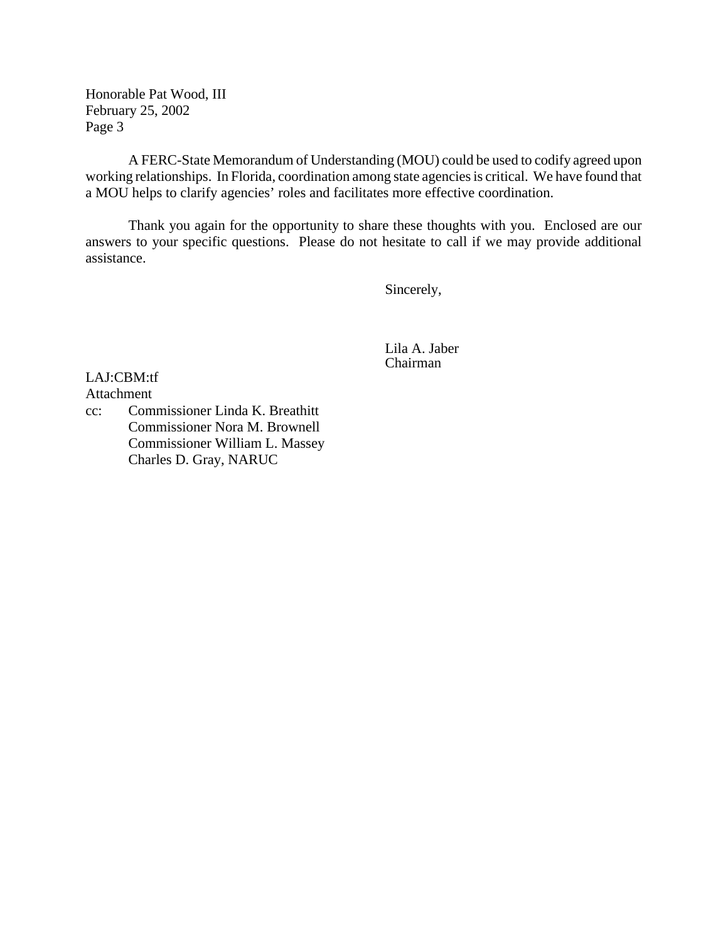Honorable Pat Wood, III February 25, 2002 Page 3

A FERC-State Memorandum of Understanding (MOU) could be used to codify agreed upon working relationships. In Florida, coordination among state agencies is critical. We have found that a MOU helps to clarify agencies' roles and facilitates more effective coordination.

Thank you again for the opportunity to share these thoughts with you. Enclosed are our answers to your specific questions. Please do not hesitate to call if we may provide additional assistance.

Sincerely,

Lila A. Jaber Chairman

LAJ:CBM:tf Attachment

cc: Commissioner Linda K. Breathitt Commissioner Nora M. Brownell Commissioner William L. Massey Charles D. Gray, NARUC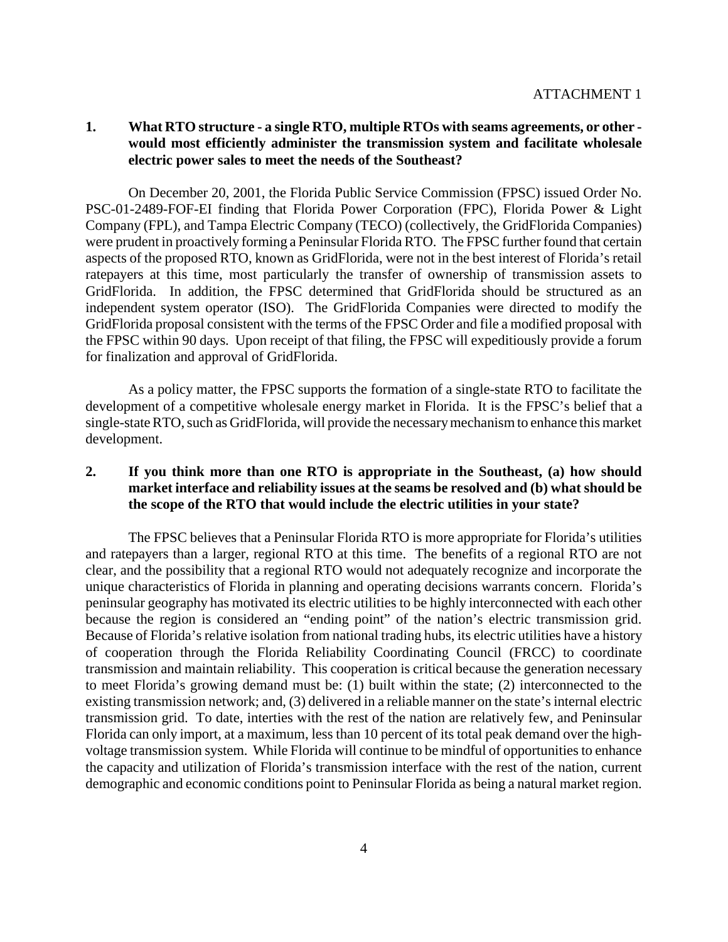## **1. What RTO structure - a single RTO, multiple RTOs with seams agreements, or other would most efficiently administer the transmission system and facilitate wholesale electric power sales to meet the needs of the Southeast?**

On December 20, 2001, the Florida Public Service Commission (FPSC) issued Order No. PSC-01-2489-FOF-EI finding that Florida Power Corporation (FPC), Florida Power & Light Company (FPL), and Tampa Electric Company (TECO) (collectively, the GridFlorida Companies) were prudent in proactively forming a Peninsular Florida RTO. The FPSC further found that certain aspects of the proposed RTO, known as GridFlorida, were not in the best interest of Florida's retail ratepayers at this time, most particularly the transfer of ownership of transmission assets to GridFlorida. In addition, the FPSC determined that GridFlorida should be structured as an independent system operator (ISO). The GridFlorida Companies were directed to modify the GridFlorida proposal consistent with the terms of the FPSC Order and file a modified proposal with the FPSC within 90 days. Upon receipt of that filing, the FPSC will expeditiously provide a forum for finalization and approval of GridFlorida.

As a policy matter, the FPSC supports the formation of a single-state RTO to facilitate the development of a competitive wholesale energy market in Florida. It is the FPSC's belief that a single-state RTO, such as GridFlorida, will provide the necessary mechanism to enhance this market development.

## **2. If you think more than one RTO is appropriate in the Southeast, (a) how should market interface and reliability issues at the seams be resolved and (b) what should be the scope of the RTO that would include the electric utilities in your state?**

The FPSC believes that a Peninsular Florida RTO is more appropriate for Florida's utilities and ratepayers than a larger, regional RTO at this time. The benefits of a regional RTO are not clear, and the possibility that a regional RTO would not adequately recognize and incorporate the unique characteristics of Florida in planning and operating decisions warrants concern. Florida's peninsular geography has motivated its electric utilities to be highly interconnected with each other because the region is considered an "ending point" of the nation's electric transmission grid. Because of Florida's relative isolation from national trading hubs, its electric utilities have a history of cooperation through the Florida Reliability Coordinating Council (FRCC) to coordinate transmission and maintain reliability. This cooperation is critical because the generation necessary to meet Florida's growing demand must be: (1) built within the state; (2) interconnected to the existing transmission network; and, (3) delivered in a reliable manner on the state's internal electric transmission grid. To date, interties with the rest of the nation are relatively few, and Peninsular Florida can only import, at a maximum, less than 10 percent of its total peak demand over the highvoltage transmission system. While Florida will continue to be mindful of opportunities to enhance the capacity and utilization of Florida's transmission interface with the rest of the nation, current demographic and economic conditions point to Peninsular Florida as being a natural market region.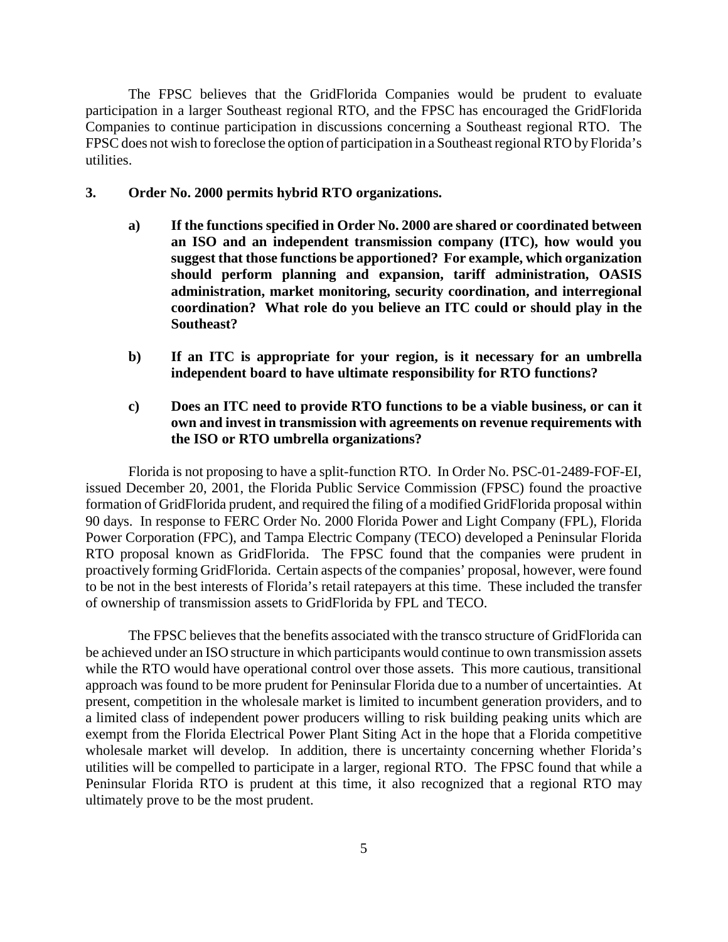The FPSC believes that the GridFlorida Companies would be prudent to evaluate participation in a larger Southeast regional RTO, and the FPSC has encouraged the GridFlorida Companies to continue participation in discussions concerning a Southeast regional RTO. The FPSC does not wish to foreclose the option of participation in a Southeast regional RTO by Florida's utilities.

#### **3. Order No. 2000 permits hybrid RTO organizations.**

- **a) If the functions specified in Order No. 2000 are shared or coordinated between an ISO and an independent transmission company (ITC), how would you suggest that those functions be apportioned? For example, which organization should perform planning and expansion, tariff administration, OASIS administration, market monitoring, security coordination, and interregional coordination? What role do you believe an ITC could or should play in the Southeast?**
- **b) If an ITC is appropriate for your region, is it necessary for an umbrella independent board to have ultimate responsibility for RTO functions?**
- **c) Does an ITC need to provide RTO functions to be a viable business, or can it own and invest in transmission with agreements on revenue requirements with the ISO or RTO umbrella organizations?**

Florida is not proposing to have a split-function RTO. In Order No. PSC-01-2489-FOF-EI, issued December 20, 2001, the Florida Public Service Commission (FPSC) found the proactive formation of GridFlorida prudent, and required the filing of a modified GridFlorida proposal within 90 days. In response to FERC Order No. 2000 Florida Power and Light Company (FPL), Florida Power Corporation (FPC), and Tampa Electric Company (TECO) developed a Peninsular Florida RTO proposal known as GridFlorida. The FPSC found that the companies were prudent in proactively forming GridFlorida. Certain aspects of the companies' proposal, however, were found to be not in the best interests of Florida's retail ratepayers at this time. These included the transfer of ownership of transmission assets to GridFlorida by FPL and TECO.

The FPSC believes that the benefits associated with the transco structure of GridFlorida can be achieved under an ISO structure in which participants would continue to own transmission assets while the RTO would have operational control over those assets. This more cautious, transitional approach was found to be more prudent for Peninsular Florida due to a number of uncertainties. At present, competition in the wholesale market is limited to incumbent generation providers, and to a limited class of independent power producers willing to risk building peaking units which are exempt from the Florida Electrical Power Plant Siting Act in the hope that a Florida competitive wholesale market will develop. In addition, there is uncertainty concerning whether Florida's utilities will be compelled to participate in a larger, regional RTO. The FPSC found that while a Peninsular Florida RTO is prudent at this time, it also recognized that a regional RTO may ultimately prove to be the most prudent.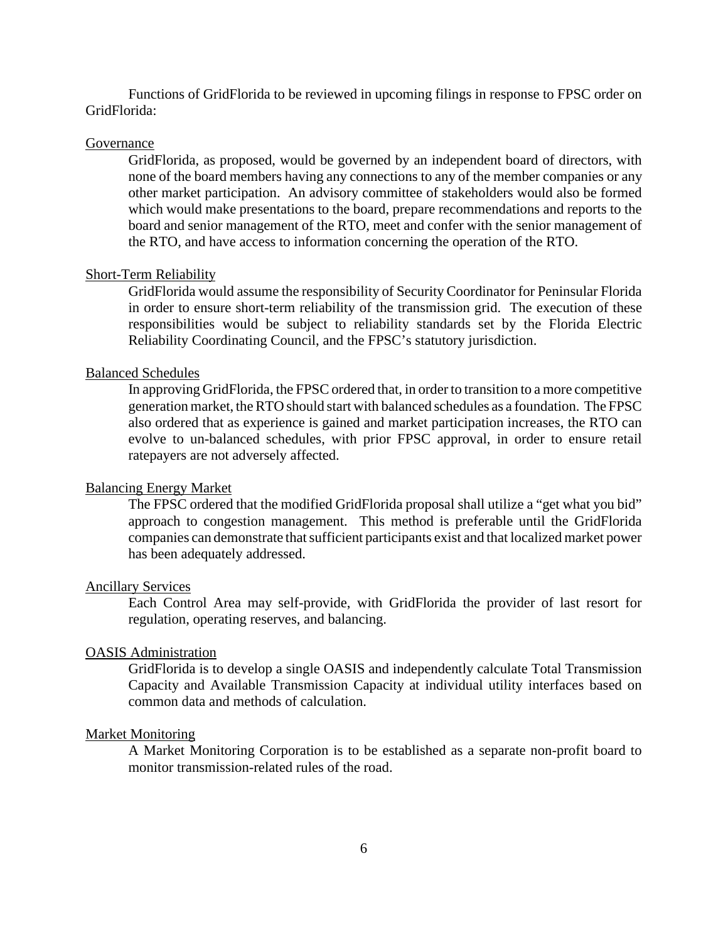Functions of GridFlorida to be reviewed in upcoming filings in response to FPSC order on GridFlorida:

## **Governance**

GridFlorida, as proposed, would be governed by an independent board of directors, with none of the board members having any connections to any of the member companies or any other market participation. An advisory committee of stakeholders would also be formed which would make presentations to the board, prepare recommendations and reports to the board and senior management of the RTO, meet and confer with the senior management of the RTO, and have access to information concerning the operation of the RTO.

#### Short-Term Reliability

GridFlorida would assume the responsibility of Security Coordinator for Peninsular Florida in order to ensure short-term reliability of the transmission grid. The execution of these responsibilities would be subject to reliability standards set by the Florida Electric Reliability Coordinating Council, and the FPSC's statutory jurisdiction.

#### Balanced Schedules

In approving GridFlorida, the FPSC ordered that, in order to transition to a more competitive generation market, theRTO should start with balanced schedules as a foundation. The FPSC also ordered that as experience is gained and market participation increases, the RTO can evolve to un-balanced schedules, with prior FPSC approval, in order to ensure retail ratepayers are not adversely affected.

#### Balancing Energy Market

The FPSC ordered that the modified GridFlorida proposal shall utilize a "get what you bid" approach to congestion management. This method is preferable until the GridFlorida companies can demonstrate that sufficient participants exist and that localized market power has been adequately addressed.

#### Ancillary Services

Each Control Area may self-provide, with GridFlorida the provider of last resort for regulation, operating reserves, and balancing.

#### OASIS Administration

GridFlorida is to develop a single OASIS and independently calculate Total Transmission Capacity and Available Transmission Capacity at individual utility interfaces based on common data and methods of calculation.

#### Market Monitoring

A Market Monitoring Corporation is to be established as a separate non-profit board to monitor transmission-related rules of the road.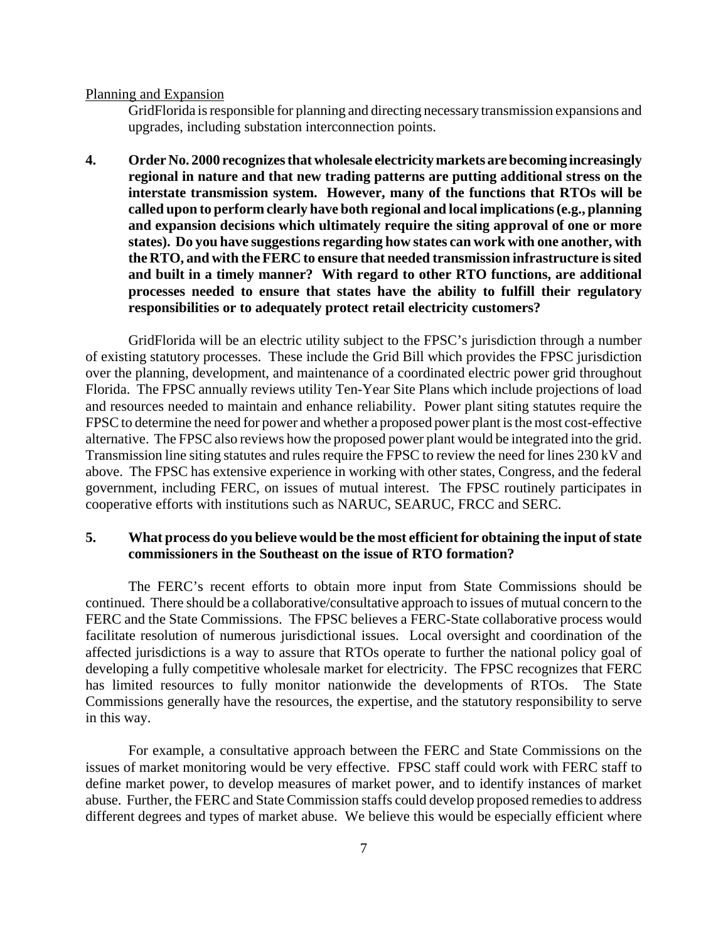Planning and Expansion

GridFlorida is responsible for planning and directing necessary transmission expansions and upgrades, including substation interconnection points.

**4. Order No. 2000 recognizesthat wholesale electricity markets are becoming increasingly regional in nature and that new trading patterns are putting additional stress on the interstate transmission system. However, many of the functions that RTOs will be called upon to perform clearly have both regional and local implications(e.g., planning and expansion decisions which ultimately require the siting approval of one or more states). Do you have suggestions regarding how states can work with one another, with the RTO, and with theFERC to ensure that needed transmission infrastructure issited and built in a timely manner? With regard to other RTO functions, are additional processes needed to ensure that states have the ability to fulfill their regulatory responsibilities or to adequately protect retail electricity customers?**

GridFlorida will be an electric utility subject to the FPSC's jurisdiction through a number of existing statutory processes. These include the Grid Bill which provides the FPSC jurisdiction over the planning, development, and maintenance of a coordinated electric power grid throughout Florida. The FPSC annually reviews utility Ten-Year Site Plans which include projections of load and resources needed to maintain and enhance reliability. Power plant siting statutes require the FPSC to determine the need for power and whether a proposed power plant is the most cost-effective alternative. The FPSC also reviews how the proposed power plant would be integrated into the grid. Transmission line siting statutes and rules require the FPSC to review the need for lines 230 kV and above. The FPSC has extensive experience in working with other states, Congress, and the federal government, including FERC, on issues of mutual interest. The FPSC routinely participates in cooperative efforts with institutions such as NARUC, SEARUC, FRCC and SERC.

## **5. What process do you believe would be the most efficient for obtaining the input ofstate commissioners in the Southeast on the issue of RTO formation?**

The FERC's recent efforts to obtain more input from State Commissions should be continued. There should be a collaborative/consultative approach to issues of mutual concern to the FERC and the State Commissions. The FPSC believes a FERC-State collaborative process would facilitate resolution of numerous jurisdictional issues. Local oversight and coordination of the affected jurisdictions is a way to assure that RTOs operate to further the national policy goal of developing a fully competitive wholesale market for electricity. The FPSC recognizes that FERC has limited resources to fully monitor nationwide the developments of RTOs. The State Commissions generally have the resources, the expertise, and the statutory responsibility to serve in this way.

For example, a consultative approach between the FERC and State Commissions on the issues of market monitoring would be very effective. FPSC staff could work with FERC staff to define market power, to develop measures of market power, and to identify instances of market abuse. Further, the FERC and State Commission staffs could develop proposed remedies to address different degrees and types of market abuse. We believe this would be especially efficient where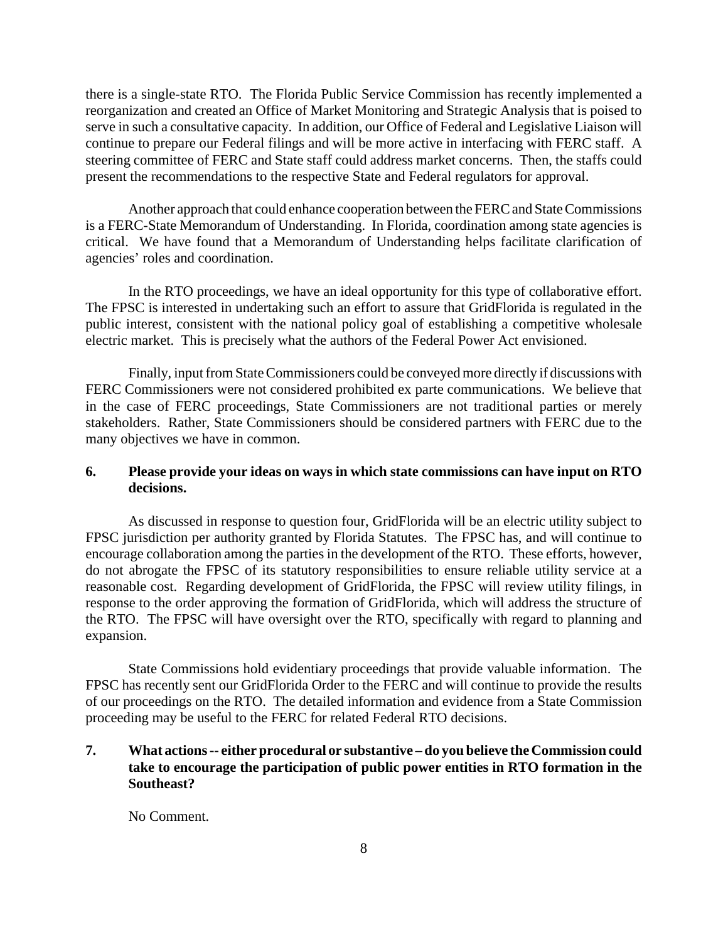there is a single-state RTO. The Florida Public Service Commission has recently implemented a reorganization and created an Office of Market Monitoring and Strategic Analysis that is poised to serve in such a consultative capacity. In addition, our Office of Federal and Legislative Liaison will continue to prepare our Federal filings and will be more active in interfacing with FERC staff. A steering committee of FERC and State staff could address market concerns. Then, the staffs could present the recommendations to the respective State and Federal regulators for approval.

Another approach that could enhance cooperation between the FERC and State Commissions is a FERC-State Memorandum of Understanding. In Florida, coordination among state agencies is critical. We have found that a Memorandum of Understanding helps facilitate clarification of agencies' roles and coordination.

In the RTO proceedings, we have an ideal opportunity for this type of collaborative effort. The FPSC is interested in undertaking such an effort to assure that GridFlorida is regulated in the public interest, consistent with the national policy goal of establishing a competitive wholesale electric market. This is precisely what the authors of the Federal Power Act envisioned.

Finally, input from State Commissioners could be conveyed more directly if discussions with FERC Commissioners were not considered prohibited ex parte communications. We believe that in the case of FERC proceedings, State Commissioners are not traditional parties or merely stakeholders. Rather, State Commissioners should be considered partners with FERC due to the many objectives we have in common.

## **6. Please provide your ideas on ways in which state commissions can have input on RTO decisions.**

As discussed in response to question four, GridFlorida will be an electric utility subject to FPSC jurisdiction per authority granted by Florida Statutes. The FPSC has, and will continue to encourage collaboration among the parties in the development of the RTO. These efforts, however, do not abrogate the FPSC of its statutory responsibilities to ensure reliable utility service at a reasonable cost. Regarding development of GridFlorida, the FPSC will review utility filings, in response to the order approving the formation of GridFlorida, which will address the structure of the RTO. The FPSC will have oversight over the RTO, specifically with regard to planning and expansion.

State Commissions hold evidentiary proceedings that provide valuable information. The FPSC has recently sent our GridFlorida Order to the FERC and will continue to provide the results of our proceedings on the RTO. The detailed information and evidence from a State Commission proceeding may be useful to the FERC for related Federal RTO decisions.

## **7. What actions-- either procedural or substantive – do you believe theCommission could take to encourage the participation of public power entities in RTO formation in the Southeast?**

No Comment.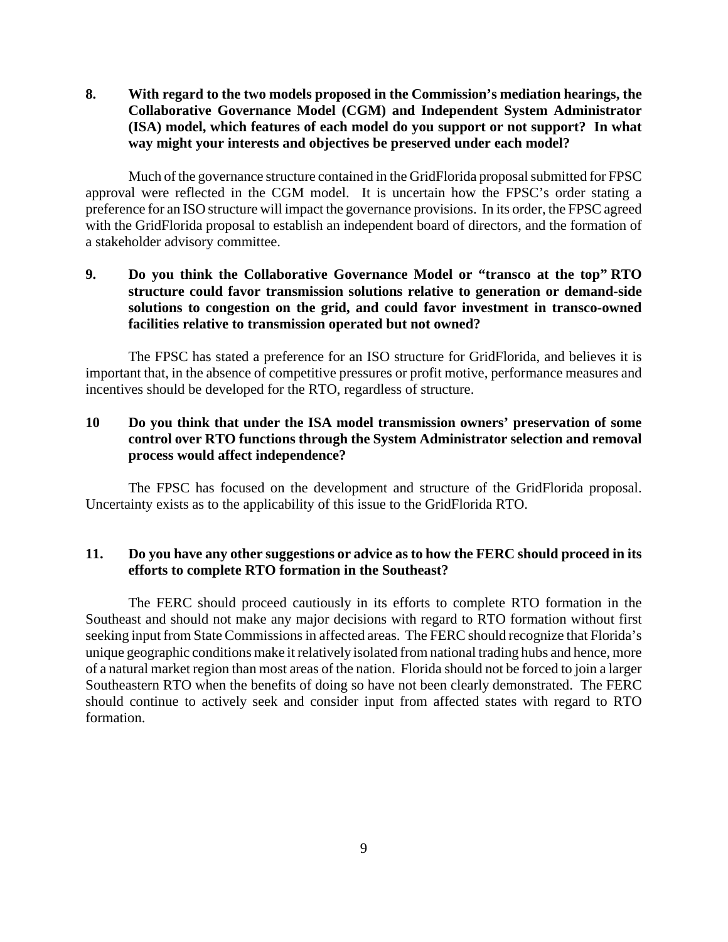**8. With regard to the two models proposed in the Commission's mediation hearings, the Collaborative Governance Model (CGM) and Independent System Administrator (ISA) model, which features of each model do you support or not support? In what way might your interests and objectives be preserved under each model?**

Much of the governance structure contained in the GridFlorida proposal submitted for FPSC approval were reflected in the CGM model. It is uncertain how the FPSC's order stating a preference for an ISO structure will impact the governance provisions. In its order, the FPSC agreed with the GridFlorida proposal to establish an independent board of directors, and the formation of a stakeholder advisory committee.

## **9. Do you think the Collaborative Governance Model or "transco at the top" RTO structure could favor transmission solutions relative to generation or demand-side solutions to congestion on the grid, and could favor investment in transco-owned facilities relative to transmission operated but not owned?**

The FPSC has stated a preference for an ISO structure for GridFlorida, and believes it is important that, in the absence of competitive pressures or profit motive, performance measures and incentives should be developed for the RTO, regardless of structure.

## **10 Do you think that under the ISA model transmission owners' preservation of some control over RTO functions through the System Administrator selection and removal process would affect independence?**

The FPSC has focused on the development and structure of the GridFlorida proposal. Uncertainty exists as to the applicability of this issue to the GridFlorida RTO.

## **11. Do you have any other suggestions or advice as to how the FERC should proceed in its efforts to complete RTO formation in the Southeast?**

The FERC should proceed cautiously in its efforts to complete RTO formation in the Southeast and should not make any major decisions with regard to RTO formation without first seeking input from State Commissions in affected areas. The FERC should recognize that Florida's unique geographic conditions make it relatively isolated from national trading hubs and hence, more of a natural market region than most areas of the nation. Florida should not be forced to join a larger Southeastern RTO when the benefits of doing so have not been clearly demonstrated. The FERC should continue to actively seek and consider input from affected states with regard to RTO formation.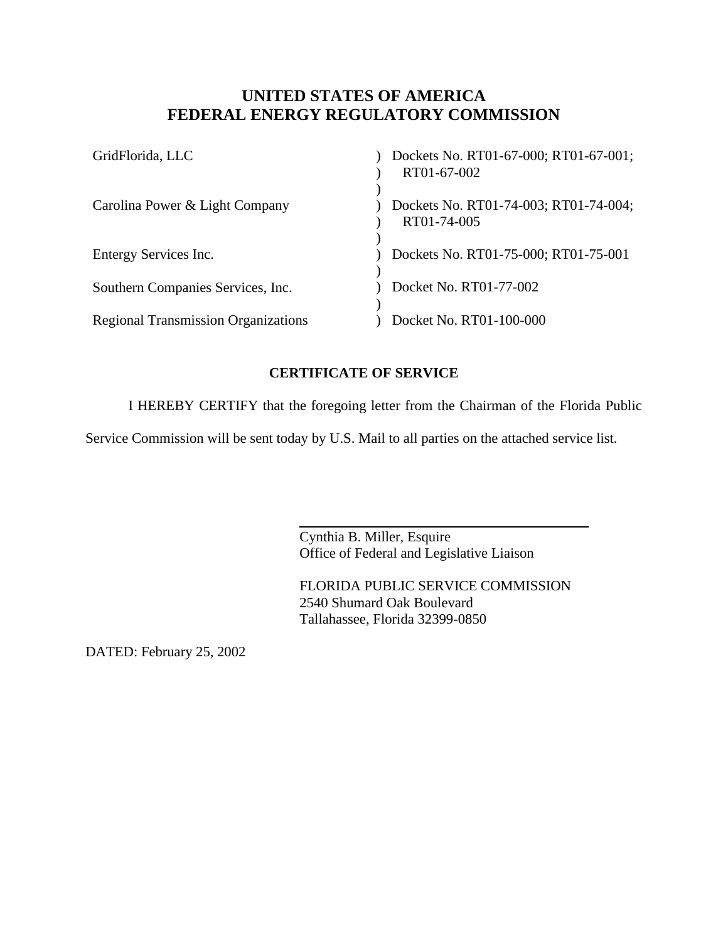## **UNITED STATES OF AMERICA FEDERAL ENERGY REGULATORY COMMISSION**

| GridFlorida, LLC                           | Dockets No. RT01-67-000; RT01-67-001;<br>RT01-67-002 |
|--------------------------------------------|------------------------------------------------------|
| Carolina Power & Light Company             | Dockets No. RT01-74-003; RT01-74-004;<br>RT01-74-005 |
| Entergy Services Inc.                      | Dockets No. RT01-75-000; RT01-75-001                 |
| Southern Companies Services, Inc.          | Docket No. RT01-77-002                               |
| <b>Regional Transmission Organizations</b> | Docket No. RT01-100-000                              |

## **CERTIFICATE OF SERVICE**

I HEREBY CERTIFY that the foregoing letter from the Chairman of the Florida Public

Service Commission will be sent today by U.S. Mail to all parties on the attached service list.

 $\overline{a}$ 

Cynthia B. Miller, Esquire Office of Federal and Legislative Liaison

FLORIDA PUBLIC SERVICE COMMISSION 2540 Shumard Oak Boulevard Tallahassee, Florida 32399-0850

DATED: February 25, 2002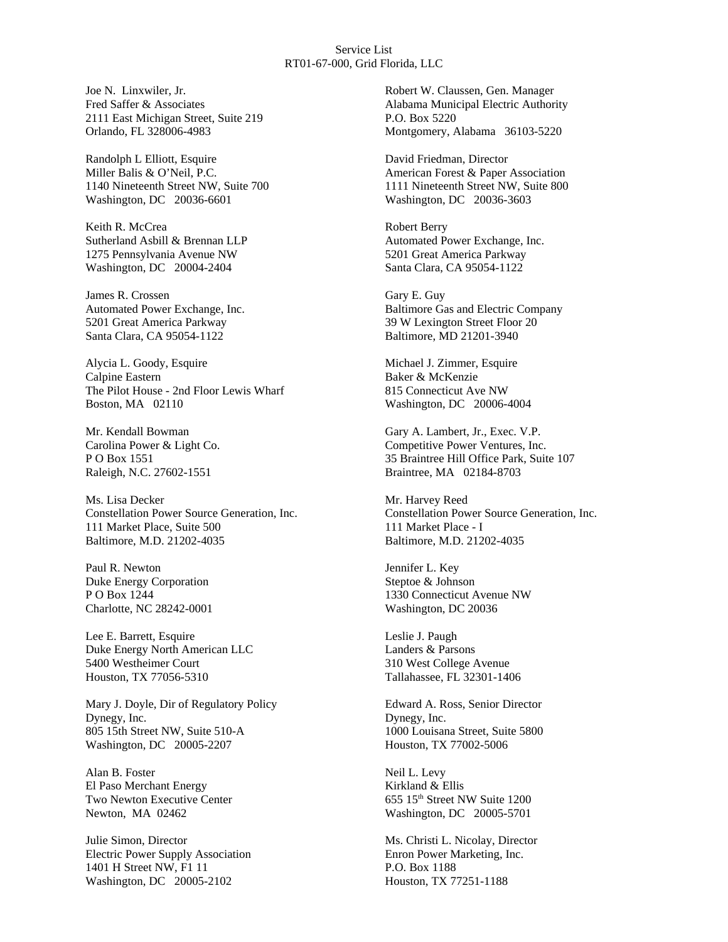#### Service List RT01-67-000, Grid Florida, LLC

Joe N. Linxwiler, Jr. Fred Saffer & Associates 2111 East Michigan Street, Suite 219 Orlando, FL 328006-4983

Randolph L Elliott, Esquire Miller Balis & O'Neil, P.C. 1140 Nineteenth Street NW, Suite 700 Washington, DC 20036-6601

Keith R. McCrea Sutherland Asbill & Brennan LLP 1275 Pennsylvania Avenue NW Washington, DC 20004-2404

James R. Crossen Automated Power Exchange, Inc. 5201 Great America Parkway Santa Clara, CA 95054-1122

Alycia L. Goody, Esquire Calpine Eastern The Pilot House - 2nd Floor Lewis Wharf Boston, MA 02110

Mr. Kendall Bowman Carolina Power & Light Co. P O Box 1551 Raleigh, N.C. 27602-1551

Ms. Lisa Decker Constellation Power Source Generation, Inc. 111 Market Place, Suite 500 Baltimore, M.D. 21202-4035

Paul R. Newton Duke Energy Corporation P O Box 1244 Charlotte, NC 28242-0001

Lee E. Barrett, Esquire Duke Energy North American LLC 5400 Westheimer Court Houston, TX 77056-5310

Mary J. Doyle, Dir of Regulatory Policy Dynegy, Inc. 805 15th Street NW, Suite 510-A Washington, DC 20005-2207

Alan B. Foster El Paso Merchant Energy Two Newton Executive Center Newton, MA 02462

Julie Simon, Director Electric Power Supply Association 1401 H Street NW, F1 11 Washington, DC 20005-2102

Robert W. Claussen, Gen. Manager Alabama Municipal Electric Authority P.O. Box 5220 Montgomery, Alabama 36103-5220

David Friedman, Director American Forest & Paper Association 1111 Nineteenth Street NW, Suite 800 Washington, DC 20036-3603

Robert Berry Automated Power Exchange, Inc. 5201 Great America Parkway Santa Clara, CA 95054-1122

Gary E. Guy Baltimore Gas and Electric Company 39 W Lexington Street Floor 20 Baltimore, MD 21201-3940

Michael J. Zimmer, Esquire Baker & McKenzie 815 Connecticut Ave NW Washington, DC 20006-4004

Gary A. Lambert, Jr., Exec. V.P. Competitive Power Ventures, Inc. 35 Braintree Hill Office Park, Suite 107 Braintree, MA 02184-8703

Mr. Harvey Reed Constellation Power Source Generation, Inc. 111 Market Place - I Baltimore, M.D. 21202-4035

Jennifer L. Key Steptoe & Johnson 1330 Connecticut Avenue NW Washington, DC 20036

Leslie J. Paugh Landers & Parsons 310 West College Avenue Tallahassee, FL 32301-1406

Edward A. Ross, Senior Director Dynegy, Inc. 1000 Louisana Street, Suite 5800 Houston, TX 77002-5006

Neil L. Levy Kirkland & Ellis 655 15th Street NW Suite 1200 Washington, DC 20005-5701

Ms. Christi L. Nicolay, Director Enron Power Marketing, Inc. P.O. Box 1188 Houston, TX 77251-1188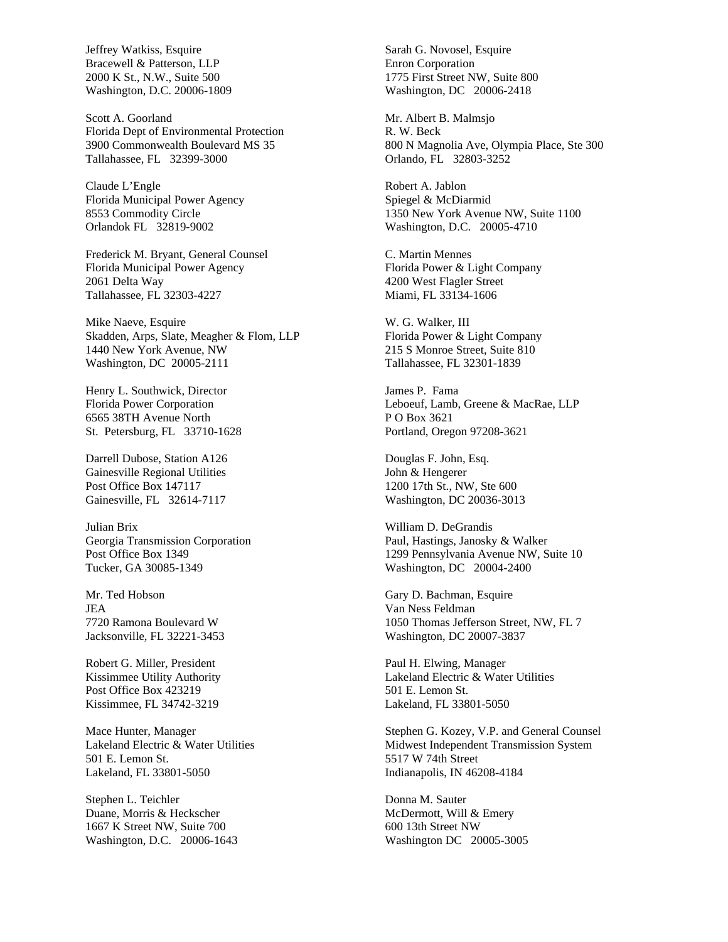Jeffrey Watkiss, Esquire Bracewell & Patterson, LLP 2000 K St., N.W., Suite 500 Washington, D.C. 20006-1809

Scott A. Goorland Florida Dept of Environmental Protection 3900 Commonwealth Boulevard MS 35 Tallahassee, FL 32399-3000

Claude L'Engle Florida Municipal Power Agency 8553 Commodity Circle Orlandok FL 32819-9002

Frederick M. Bryant, General Counsel Florida Municipal Power Agency 2061 Delta Way Tallahassee, FL 32303-4227

Mike Naeve, Esquire Skadden, Arps, Slate, Meagher & Flom, LLP 1440 New York Avenue, NW Washington, DC 20005-2111

Henry L. Southwick, Director Florida Power Corporation 6565 38TH Avenue North St. Petersburg, FL 33710-1628

Darrell Dubose, Station A126 Gainesville Regional Utilities Post Office Box 147117 Gainesville, FL 32614-7117

Julian Brix Georgia Transmission Corporation Post Office Box 1349 Tucker, GA 30085-1349

Mr. Ted Hobson JEA 7720 Ramona Boulevard W Jacksonville, FL 32221-3453

Robert G. Miller, President Kissimmee Utility Authority Post Office Box 423219 Kissimmee, FL 34742-3219

Mace Hunter, Manager Lakeland Electric & Water Utilities 501 E. Lemon St. Lakeland, FL 33801-5050

Stephen L. Teichler Duane, Morris & Heckscher 1667 K Street NW, Suite 700 Washington, D.C. 20006-1643 Sarah G. Novosel, Esquire Enron Corporation 1775 First Street NW, Suite 800 Washington, DC 20006-2418

Mr. Albert B. Malmsjo R. W. Beck 800 N Magnolia Ave, Olympia Place, Ste 300 Orlando, FL 32803-3252

Robert A. Jablon Spiegel & McDiarmid 1350 New York Avenue NW, Suite 1100 Washington, D.C. 20005-4710

C. Martin Mennes Florida Power & Light Company 4200 West Flagler Street Miami, FL 33134-1606

W. G. Walker, III Florida Power & Light Company 215 S Monroe Street, Suite 810 Tallahassee, FL 32301-1839

James P. Fama Leboeuf, Lamb, Greene & MacRae, LLP P O Box 3621 Portland, Oregon 97208-3621

Douglas F. John, Esq. John & Hengerer 1200 17th St., NW, Ste 600 Washington, DC 20036-3013

William D. DeGrandis Paul, Hastings, Janosky & Walker 1299 Pennsylvania Avenue NW, Suite 10 Washington, DC 20004-2400

Gary D. Bachman, Esquire Van Ness Feldman 1050 Thomas Jefferson Street, NW, FL 7 Washington, DC 20007-3837

Paul H. Elwing, Manager Lakeland Electric & Water Utilities 501 E. Lemon St. Lakeland, FL 33801-5050

Stephen G. Kozey, V.P. and General Counsel Midwest Independent Transmission System 5517 W 74th Street Indianapolis, IN 46208-4184

Donna M. Sauter McDermott, Will & Emery 600 13th Street NW Washington DC 20005-3005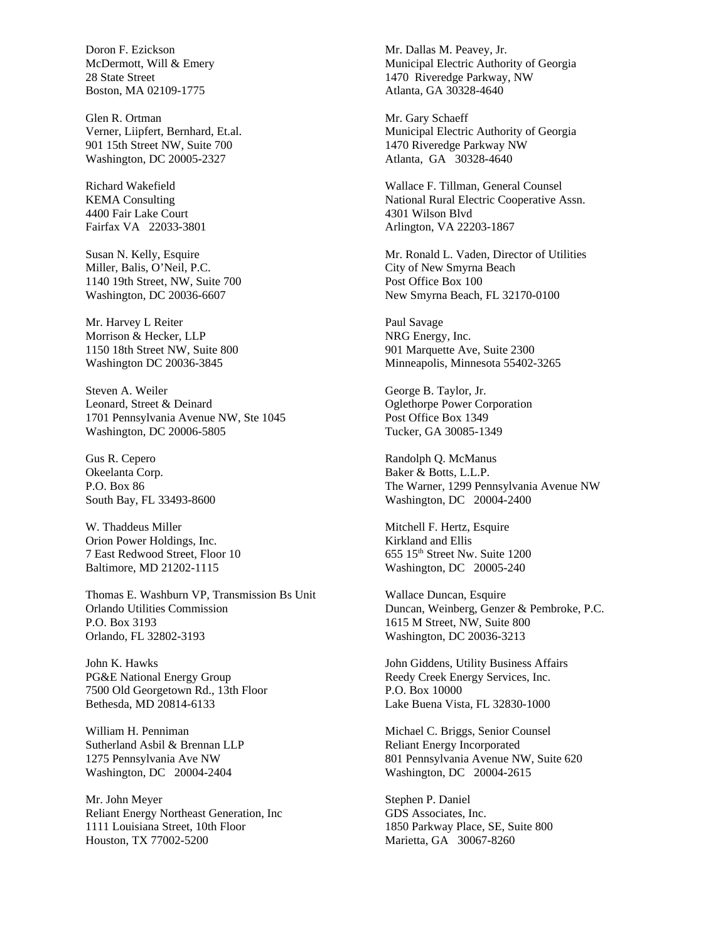Doron F. Ezickson McDermott, Will & Emery 28 State Street Boston, MA 02109-1775

Glen R. Ortman Verner, Liipfert, Bernhard, Et.al. 901 15th Street NW, Suite 700 Washington, DC 20005-2327

Richard Wakefield KEMA Consulting 4400 Fair Lake Court Fairfax VA 22033-3801

Susan N. Kelly, Esquire Miller, Balis, O'Neil, P.C. 1140 19th Street, NW, Suite 700 Washington, DC 20036-6607

Mr. Harvey L Reiter Morrison & Hecker, LLP 1150 18th Street NW, Suite 800 Washington DC 20036-3845

Steven A. Weiler Leonard, Street & Deinard 1701 Pennsylvania Avenue NW, Ste 1045 Washington, DC 20006-5805

Gus R. Cepero Okeelanta Corp. P.O. Box 86 South Bay, FL 33493-8600

W. Thaddeus Miller Orion Power Holdings, Inc. 7 East Redwood Street, Floor 10 Baltimore, MD 21202-1115

Thomas E. Washburn VP, Transmission Bs Unit Orlando Utilities Commission P.O. Box 3193 Orlando, FL 32802-3193

John K. Hawks PG&E National Energy Group 7500 Old Georgetown Rd., 13th Floor Bethesda, MD 20814-6133

William H. Penniman Sutherland Asbil & Brennan LLP 1275 Pennsylvania Ave NW Washington, DC 20004-2404

Mr. John Meyer Reliant Energy Northeast Generation, Inc 1111 Louisiana Street, 10th Floor Houston, TX 77002-5200

Mr. Dallas M. Peavey, Jr. Municipal Electric Authority of Georgia 1470 Riveredge Parkway, NW Atlanta, GA 30328-4640

Mr. Gary Schaeff Municipal Electric Authority of Georgia 1470 Riveredge Parkway NW Atlanta, GA 30328-4640

Wallace F. Tillman, General Counsel National Rural Electric Cooperative Assn. 4301 Wilson Blvd Arlington, VA 22203-1867

Mr. Ronald L. Vaden, Director of Utilities City of New Smyrna Beach Post Office Box 100 New Smyrna Beach, FL 32170-0100

Paul Savage NRG Energy, Inc. 901 Marquette Ave, Suite 2300 Minneapolis, Minnesota 55402-3265

George B. Taylor, Jr. Oglethorpe Power Corporation Post Office Box 1349 Tucker, GA 30085-1349

Randolph Q. McManus Baker & Botts, L.L.P. The Warner, 1299 Pennsylvania Avenue NW Washington, DC 20004-2400

Mitchell F. Hertz, Esquire Kirkland and Ellis 655 15th Street Nw. Suite 1200 Washington, DC 20005-240

Wallace Duncan, Esquire Duncan, Weinberg, Genzer & Pembroke, P.C. 1615 M Street, NW, Suite 800 Washington, DC 20036-3213

John Giddens, Utility Business Affairs Reedy Creek Energy Services, Inc. P.O. Box 10000 Lake Buena Vista, FL 32830-1000

Michael C. Briggs, Senior Counsel Reliant Energy Incorporated 801 Pennsylvania Avenue NW, Suite 620 Washington, DC 20004-2615

Stephen P. Daniel GDS Associates, Inc. 1850 Parkway Place, SE, Suite 800 Marietta, GA 30067-8260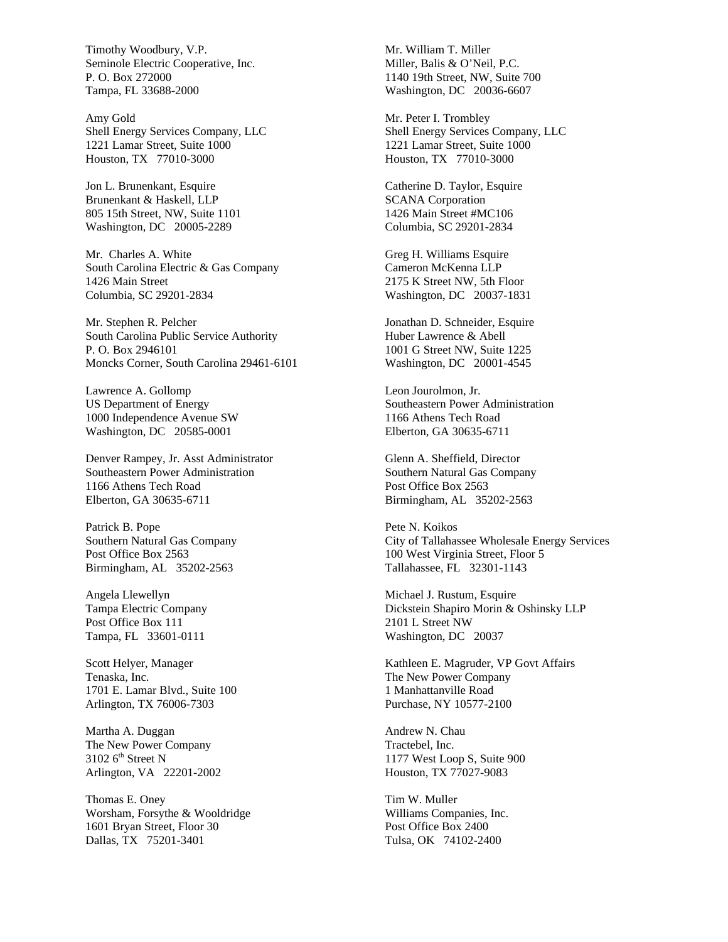Timothy Woodbury, V.P. Seminole Electric Cooperative, Inc. P. O. Box 272000 Tampa, FL 33688-2000

Amy Gold Shell Energy Services Company, LLC 1221 Lamar Street, Suite 1000 Houston, TX 77010-3000

Jon L. Brunenkant, Esquire Brunenkant & Haskell, LLP 805 15th Street, NW, Suite 1101 Washington, DC 20005-2289

Mr. Charles A. White South Carolina Electric & Gas Company 1426 Main Street Columbia, SC 29201-2834

Mr. Stephen R. Pelcher South Carolina Public Service Authority P. O. Box 2946101 Moncks Corner, South Carolina 29461-6101

Lawrence A. Gollomp US Department of Energy 1000 Independence Avenue SW Washington, DC 20585-0001

Denver Rampey, Jr. Asst Administrator Southeastern Power Administration 1166 Athens Tech Road Elberton, GA 30635-6711

Patrick B. Pope Southern Natural Gas Company Post Office Box 2563 Birmingham, AL 35202-2563

Angela Llewellyn Tampa Electric Company Post Office Box 111 Tampa, FL 33601-0111

Scott Helyer, Manager Tenaska, Inc. 1701 E. Lamar Blvd., Suite 100 Arlington, TX 76006-7303

Martha A. Duggan The New Power Company  $3102$  6<sup>th</sup> Street N Arlington, VA 22201-2002

Thomas E. Oney Worsham, Forsythe & Wooldridge 1601 Bryan Street, Floor 30 Dallas, TX 75201-3401

Mr. William T. Miller Miller, Balis & O'Neil, P.C. 1140 19th Street, NW, Suite 700 Washington, DC 20036-6607

Mr. Peter I. Trombley Shell Energy Services Company, LLC 1221 Lamar Street, Suite 1000 Houston, TX 77010-3000

Catherine D. Taylor, Esquire SCANA Corporation 1426 Main Street #MC106 Columbia, SC 29201-2834

Greg H. Williams Esquire Cameron McKenna LLP 2175 K Street NW, 5th Floor Washington, DC 20037-1831

Jonathan D. Schneider, Esquire Huber Lawrence & Abell 1001 G Street NW, Suite 1225 Washington, DC 20001-4545

Leon Jourolmon, Jr. Southeastern Power Administration 1166 Athens Tech Road Elberton, GA 30635-6711

Glenn A. Sheffield, Director Southern Natural Gas Company Post Office Box 2563 Birmingham, AL 35202-2563

Pete N. Koikos City of Tallahassee Wholesale Energy Services 100 West Virginia Street, Floor 5 Tallahassee, FL 32301-1143

Michael J. Rustum, Esquire Dickstein Shapiro Morin & Oshinsky LLP 2101 L Street NW Washington, DC 20037

Kathleen E. Magruder, VP Govt Affairs The New Power Company 1 Manhattanville Road Purchase, NY 10577-2100

Andrew N. Chau Tractebel, Inc. 1177 West Loop S, Suite 900 Houston, TX 77027-9083

Tim W. Muller Williams Companies, Inc. Post Office Box 2400 Tulsa, OK 74102-2400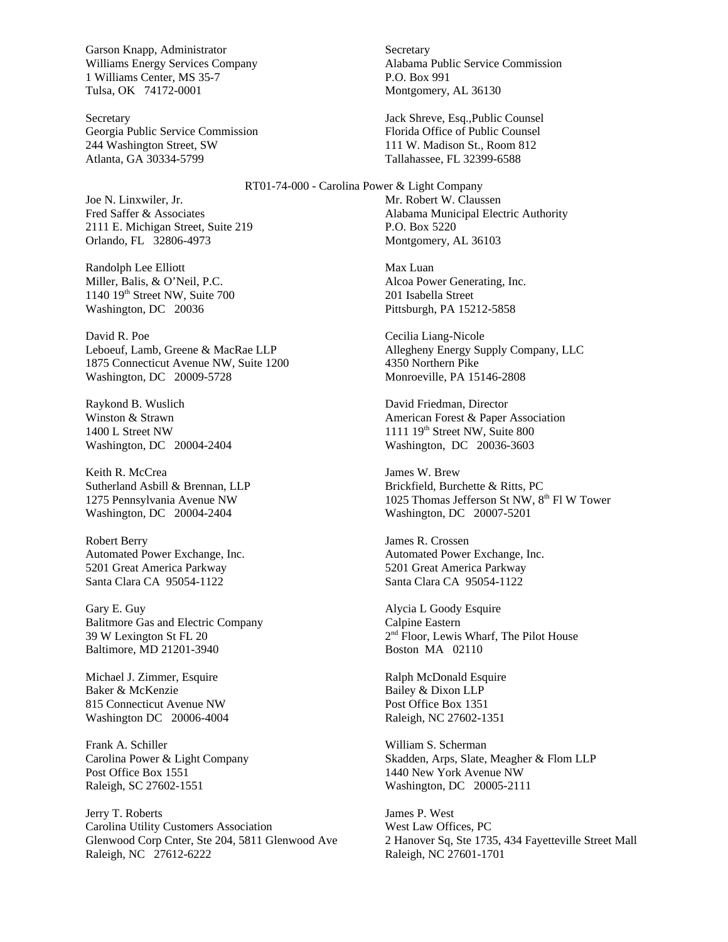Garson Knapp, Administrator Williams Energy Services Company 1 Williams Center, MS 35-7 Tulsa, OK 74172-0001

Secretary Georgia Public Service Commission 244 Washington Street, SW Atlanta, GA 30334-5799

Joe N. Linxwiler, Jr. Fred Saffer & Associates 2111 E. Michigan Street, Suite 219 Orlando, FL 32806-4973

Randolph Lee Elliott Miller, Balis, & O'Neil, P.C. 1140 19<sup>th</sup> Street NW, Suite 700 Washington, DC 20036

David R. Poe Leboeuf, Lamb, Greene & MacRae LLP 1875 Connecticut Avenue NW, Suite 1200 Washington, DC 20009-5728

Raykond B. Wuslich Winston & Strawn 1400 L Street NW Washington, DC 20004-2404

Keith R. McCrea Sutherland Asbill & Brennan, LLP 1275 Pennsylvania Avenue NW Washington, DC 20004-2404

Robert Berry Automated Power Exchange, Inc. 5201 Great America Parkway Santa Clara CA 95054-1122

Gary E. Guy Balitmore Gas and Electric Company 39 W Lexington St FL 20 Baltimore, MD 21201-3940

Michael J. Zimmer, Esquire Baker & McKenzie 815 Connecticut Avenue NW Washington DC 20006-4004

Frank A. Schiller Carolina Power & Light Company Post Office Box 1551 Raleigh, SC 27602-1551

Jerry T. Roberts Carolina Utility Customers Association Glenwood Corp Cnter, Ste 204, 5811 Glenwood Ave Raleigh, NC 27612-6222

**Secretary** Alabama Public Service Commission P.O. Box 991 Montgomery, AL 36130

Jack Shreve, Esq.,Public Counsel Florida Office of Public Counsel 111 W. Madison St., Room 812 Tallahassee, FL 32399-6588

RT01-74-000 - Carolina Power & Light Company Mr. Robert W. Claussen Alabama Municipal Electric Authority P.O. Box 5220 Montgomery, AL 36103

> Max Luan Alcoa Power Generating, Inc. 201 Isabella Street Pittsburgh, PA 15212-5858

Cecilia Liang-Nicole Allegheny Energy Supply Company, LLC 4350 Northern Pike Monroeville, PA 15146-2808

David Friedman, Director American Forest & Paper Association  $1111$   $19<sup>th</sup>$  Street NW, Suite 800 Washington, DC 20036-3603

James W. Brew Brickfield, Burchette & Ritts, PC 1025 Thomas Jefferson St NW, 8th Fl W Tower Washington, DC 20007-5201

James R. Crossen Automated Power Exchange, Inc. 5201 Great America Parkway Santa Clara CA 95054-1122

Alycia L Goody Esquire Calpine Eastern 2 nd Floor, Lewis Wharf, The Pilot House Boston MA 02110

Ralph McDonald Esquire Bailey & Dixon LLP Post Office Box 1351 Raleigh, NC 27602-1351

William S. Scherman Skadden, Arps, Slate, Meagher & Flom LLP 1440 New York Avenue NW Washington, DC 20005-2111

James P. West West Law Offices, PC 2 Hanover Sq, Ste 1735, 434 Fayetteville Street Mall Raleigh, NC 27601-1701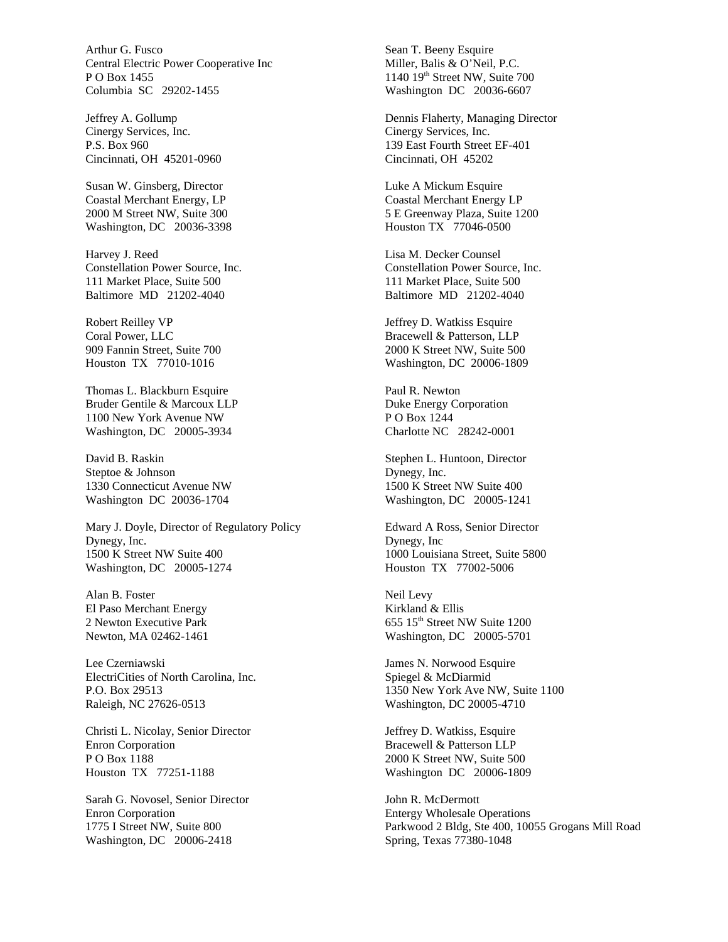Arthur G. Fusco Central Electric Power Cooperative Inc P O Box 1455 Columbia SC 29202-1455

Jeffrey A. Gollump Cinergy Services, Inc. P.S. Box 960 Cincinnati, OH 45201-0960

Susan W. Ginsberg, Director Coastal Merchant Energy, LP 2000 M Street NW, Suite 300 Washington, DC 20036-3398

Harvey J. Reed Constellation Power Source, Inc. 111 Market Place, Suite 500 Baltimore MD 21202-4040

Robert Reilley VP Coral Power, LLC 909 Fannin Street, Suite 700 Houston TX 77010-1016

Thomas L. Blackburn Esquire Bruder Gentile & Marcoux LLP 1100 New York Avenue NW Washington, DC 20005-3934

David B. Raskin Steptoe & Johnson 1330 Connecticut Avenue NW Washington DC 20036-1704

Mary J. Doyle, Director of Regulatory Policy Dynegy, Inc. 1500 K Street NW Suite 400 Washington, DC 20005-1274

Alan B. Foster El Paso Merchant Energy 2 Newton Executive Park Newton, MA 02462-1461

Lee Czerniawski ElectriCities of North Carolina, Inc. P.O. Box 29513 Raleigh, NC 27626-0513

Christi L. Nicolay, Senior Director Enron Corporation P O Box 1188 Houston TX 77251-1188

Sarah G. Novosel, Senior Director Enron Corporation 1775 I Street NW, Suite 800 Washington, DC 20006-2418

Sean T. Beeny Esquire Miller, Balis & O'Neil, P.C. 1140 19<sup>th</sup> Street NW, Suite 700 Washington DC 20036-6607

Dennis Flaherty, Managing Director Cinergy Services, Inc. 139 East Fourth Street EF-401 Cincinnati, OH 45202

Luke A Mickum Esquire Coastal Merchant Energy LP 5 E Greenway Plaza, Suite 1200 Houston TX 77046-0500

Lisa M. Decker Counsel Constellation Power Source, Inc. 111 Market Place, Suite 500 Baltimore MD 21202-4040

Jeffrey D. Watkiss Esquire Bracewell & Patterson, LLP 2000 K Street NW, Suite 500 Washington, DC 20006-1809

Paul R. Newton Duke Energy Corporation P O Box 1244 Charlotte NC 28242-0001

Stephen L. Huntoon, Director Dynegy, Inc. 1500 K Street NW Suite 400 Washington, DC 20005-1241

Edward A Ross, Senior Director Dynegy, Inc 1000 Louisiana Street, Suite 5800 Houston TX 77002-5006

Neil Levy Kirkland & Ellis 655 15th Street NW Suite 1200 Washington, DC 20005-5701

James N. Norwood Esquire Spiegel & McDiarmid 1350 New York Ave NW, Suite 1100 Washington, DC 20005-4710

Jeffrey D. Watkiss, Esquire Bracewell & Patterson LLP 2000 K Street NW, Suite 500 Washington DC 20006-1809

John R. McDermott Entergy Wholesale Operations Parkwood 2 Bldg, Ste 400, 10055 Grogans Mill Road Spring, Texas 77380-1048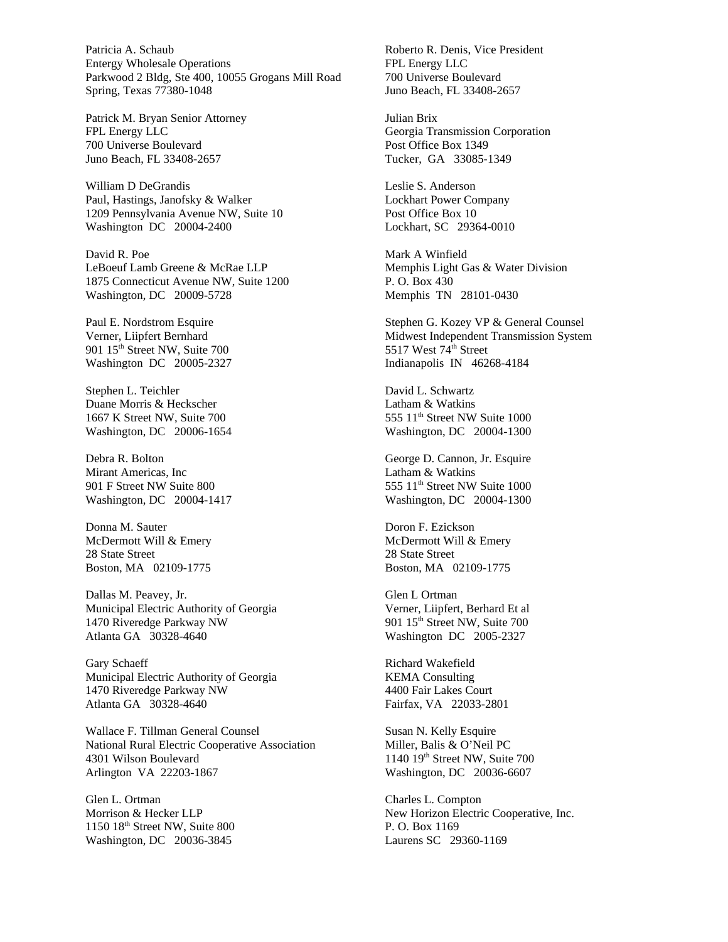Patricia A. Schaub Entergy Wholesale Operations Parkwood 2 Bldg, Ste 400, 10055 Grogans Mill Road Spring, Texas 77380-1048

Patrick M. Bryan Senior Attorney FPL Energy LLC 700 Universe Boulevard Juno Beach, FL 33408-2657

William D DeGrandis Paul, Hastings, Janofsky & Walker 1209 Pennsylvania Avenue NW, Suite 10 Washington DC 20004-2400

David R. Poe LeBoeuf Lamb Greene & McRae LLP 1875 Connecticut Avenue NW, Suite 1200 Washington, DC 20009-5728

Paul E. Nordstrom Esquire Verner, Liipfert Bernhard 901 15<sup>th</sup> Street NW, Suite 700 Washington DC 20005-2327

Stephen L. Teichler Duane Morris & Heckscher 1667 K Street NW, Suite 700 Washington, DC 20006-1654

Debra R. Bolton Mirant Americas, Inc 901 F Street NW Suite 800 Washington, DC 20004-1417

Donna M. Sauter McDermott Will & Emery 28 State Street Boston, MA 02109-1775

Dallas M. Peavey, Jr. Municipal Electric Authority of Georgia 1470 Riveredge Parkway NW Atlanta GA 30328-4640

Gary Schaeff Municipal Electric Authority of Georgia 1470 Riveredge Parkway NW Atlanta GA 30328-4640

Wallace F. Tillman General Counsel National Rural Electric Cooperative Association 4301 Wilson Boulevard Arlington VA 22203-1867

Glen L. Ortman Morrison & Hecker LLP 1150 18th Street NW, Suite 800 Washington, DC 20036-3845

Roberto R. Denis, Vice President FPL Energy LLC 700 Universe Boulevard Juno Beach, FL 33408-2657

Julian Brix Georgia Transmission Corporation Post Office Box 1349 Tucker, GA 33085-1349

Leslie S. Anderson Lockhart Power Company Post Office Box 10 Lockhart, SC 29364-0010

Mark A Winfield Memphis Light Gas & Water Division P. O. Box 430 Memphis TN 28101-0430

Stephen G. Kozey VP & General Counsel Midwest Independent Transmission System 5517 West  $74^{\text{th}}$  Street Indianapolis IN 46268-4184

David L. Schwartz Latham & Watkins 555 11<sup>th</sup> Street NW Suite 1000 Washington, DC 20004-1300

George D. Cannon, Jr. Esquire Latham & Watkins 555 11<sup>th</sup> Street NW Suite 1000 Washington, DC 20004-1300

Doron F. Ezickson McDermott Will & Emery 28 State Street Boston, MA 02109-1775

Glen L Ortman Verner, Liipfert, Berhard Et al 901 15<sup>th</sup> Street NW, Suite 700 Washington DC 2005-2327

Richard Wakefield KEMA Consulting 4400 Fair Lakes Court Fairfax, VA 22033-2801

Susan N. Kelly Esquire Miller, Balis & O'Neil PC 1140 19th Street NW, Suite 700 Washington, DC 20036-6607

Charles L. Compton New Horizon Electric Cooperative, Inc. P. O. Box 1169 Laurens SC 29360-1169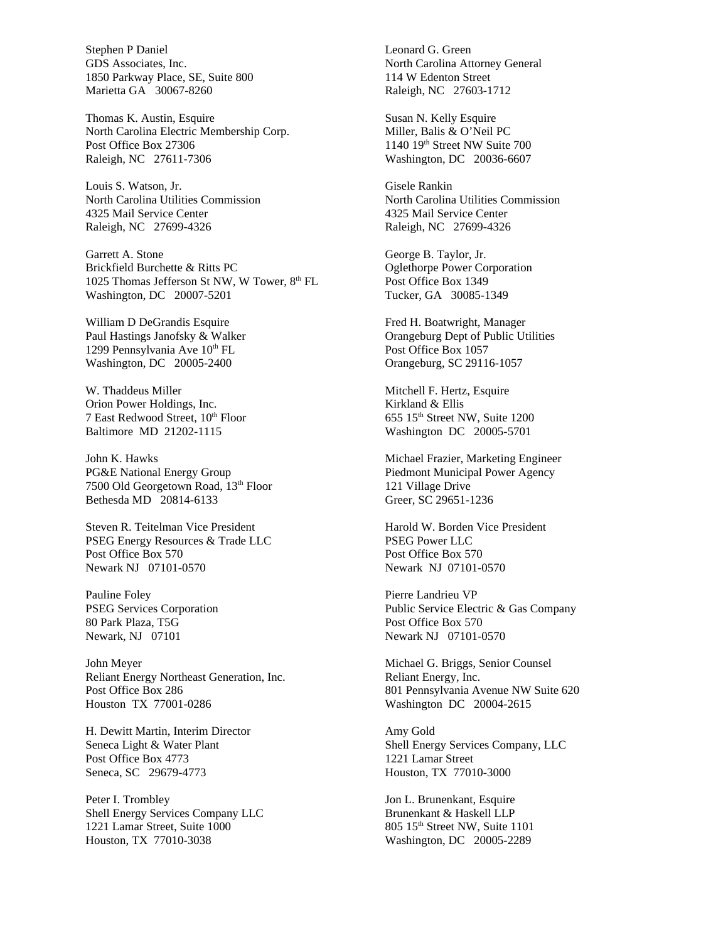Stephen P Daniel GDS Associates, Inc. 1850 Parkway Place, SE, Suite 800 Marietta GA 30067-8260

Thomas K. Austin, Esquire North Carolina Electric Membership Corp. Post Office Box 27306 Raleigh, NC 27611-7306

Louis S. Watson, Jr. North Carolina Utilities Commission 4325 Mail Service Center Raleigh, NC 27699-4326

Garrett A. Stone Brickfield Burchette & Ritts PC 1025 Thomas Jefferson St NW, W Tower, 8th FL Washington, DC 20007-5201

William D DeGrandis Esquire Paul Hastings Janofsky & Walker 1299 Pennsylvania Ave 10<sup>th</sup> FL Washington, DC 20005-2400

W. Thaddeus Miller Orion Power Holdings, Inc. 7 East Redwood Street,  $10^{th}$  Floor Baltimore MD 21202-1115

John K. Hawks PG&E National Energy Group 7500 Old Georgetown Road, 13<sup>th</sup> Floor Bethesda MD 20814-6133

Steven R. Teitelman Vice President PSEG Energy Resources & Trade LLC Post Office Box 570 Newark NJ 07101-0570

Pauline Foley PSEG Services Corporation 80 Park Plaza, T5G Newark, NJ 07101

John Meyer Reliant Energy Northeast Generation, Inc. Post Office Box 286 Houston TX 77001-0286

H. Dewitt Martin, Interim Director Seneca Light & Water Plant Post Office Box 4773 Seneca, SC 29679-4773

Peter I. Trombley Shell Energy Services Company LLC 1221 Lamar Street, Suite 1000 Houston, TX 77010-3038

Leonard G. Green North Carolina Attorney General 114 W Edenton Street Raleigh, NC 27603-1712

Susan N. Kelly Esquire Miller, Balis & O'Neil PC 1140 19<sup>th</sup> Street NW Suite 700 Washington, DC 20036-6607

Gisele Rankin North Carolina Utilities Commission 4325 Mail Service Center Raleigh, NC 27699-4326

George B. Taylor, Jr. Oglethorpe Power Corporation Post Office Box 1349 Tucker, GA 30085-1349

Fred H. Boatwright, Manager Orangeburg Dept of Public Utilities Post Office Box 1057 Orangeburg, SC 29116-1057

Mitchell F. Hertz, Esquire Kirkland & Ellis 655 15<sup>th</sup> Street NW, Suite 1200 Washington DC 20005-5701

Michael Frazier, Marketing Engineer Piedmont Municipal Power Agency 121 Village Drive Greer, SC 29651-1236

Harold W. Borden Vice President PSEG Power LLC Post Office Box 570 Newark NJ 07101-0570

Pierre Landrieu VP Public Service Electric & Gas Company Post Office Box 570 Newark NJ 07101-0570

Michael G. Briggs, Senior Counsel Reliant Energy, Inc. 801 Pennsylvania Avenue NW Suite 620 Washington DC 20004-2615

Amy Gold Shell Energy Services Company, LLC 1221 Lamar Street Houston, TX 77010-3000

Jon L. Brunenkant, Esquire Brunenkant & Haskell LLP 805 15th Street NW, Suite 1101 Washington, DC 20005-2289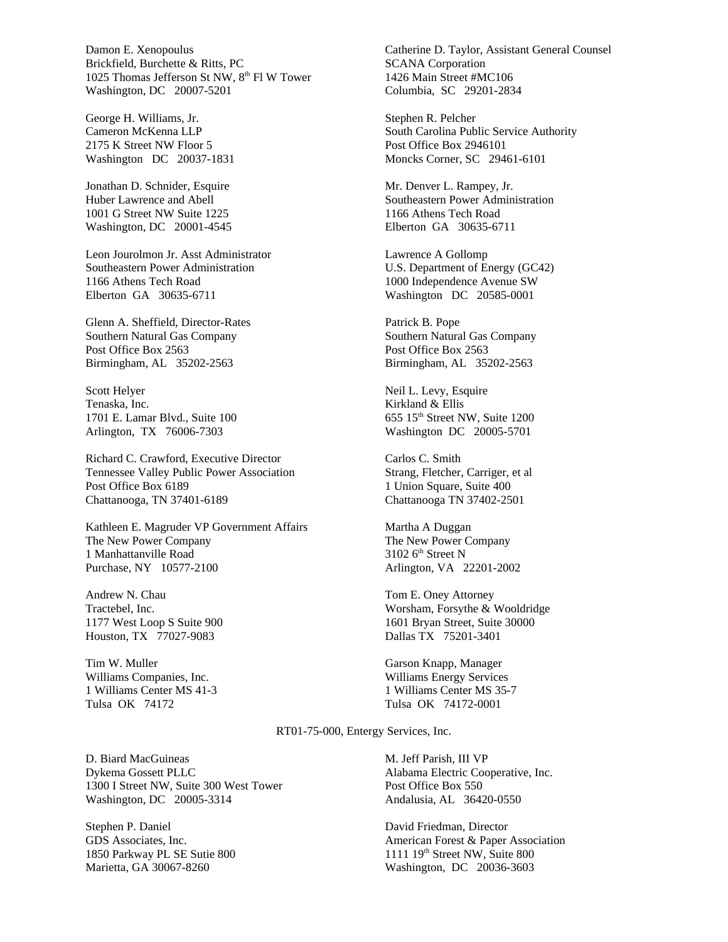Damon E. Xenopoulus Brickfield, Burchette & Ritts, PC 1025 Thomas Jefferson St NW, 8<sup>th</sup> Fl W Tower Washington, DC 20007-5201

George H. Williams, Jr. Cameron McKenna LLP 2175 K Street NW Floor 5 Washington DC 20037-1831

Jonathan D. Schnider, Esquire Huber Lawrence and Abell 1001 G Street NW Suite 1225 Washington, DC 20001-4545

Leon Jourolmon Jr. Asst Administrator Southeastern Power Administration 1166 Athens Tech Road Elberton GA 30635-6711

Glenn A. Sheffield, Director-Rates Southern Natural Gas Company Post Office Box 2563 Birmingham, AL 35202-2563

Scott Helyer Tenaska, Inc. 1701 E. Lamar Blvd., Suite 100 Arlington, TX 76006-7303

Richard C. Crawford, Executive Director Tennessee Valley Public Power Association Post Office Box 6189 Chattanooga, TN 37401-6189

Kathleen E. Magruder VP Government Affairs The New Power Company 1 Manhattanville Road Purchase, NY 10577-2100

Andrew N. Chau Tractebel, Inc. 1177 West Loop S Suite 900 Houston, TX 77027-9083

Tim W. Muller Williams Companies, Inc. 1 Williams Center MS 41-3 Tulsa OK 74172

Catherine D. Taylor, Assistant General Counsel SCANA Corporation 1426 Main Street #MC106 Columbia, SC 29201-2834

Stephen R. Pelcher South Carolina Public Service Authority Post Office Box 2946101 Moncks Corner, SC 29461-6101

Mr. Denver L. Rampey, Jr. Southeastern Power Administration 1166 Athens Tech Road Elberton GA 30635-6711

Lawrence A Gollomp U.S. Department of Energy (GC42) 1000 Independence Avenue SW Washington DC 20585-0001

Patrick B. Pope Southern Natural Gas Company Post Office Box 2563 Birmingham, AL 35202-2563

Neil L. Levy, Esquire Kirkland & Ellis 655 15<sup>th</sup> Street NW, Suite 1200 Washington DC 20005-5701

Carlos C. Smith Strang, Fletcher, Carriger, et al 1 Union Square, Suite 400 Chattanooga TN 37402-2501

Martha A Duggan The New Power Company  $3102$  6<sup>th</sup> Street N Arlington, VA 22201-2002

Tom E. Oney Attorney Worsham, Forsythe & Wooldridge 1601 Bryan Street, Suite 30000 Dallas TX 75201-3401

Garson Knapp, Manager Williams Energy Services 1 Williams Center MS 35-7 Tulsa OK 74172-0001

RT01-75-000, Entergy Services, Inc.

D. Biard MacGuineas Dykema Gossett PLLC 1300 I Street NW, Suite 300 West Tower Washington, DC 20005-3314

Stephen P. Daniel GDS Associates, Inc. 1850 Parkway PL SE Sutie 800 Marietta, GA 30067-8260

M. Jeff Parish, III VP Alabama Electric Cooperative, Inc. Post Office Box 550 Andalusia, AL 36420-0550

David Friedman, Director American Forest & Paper Association 1111  $19<sup>th</sup>$  Street NW, Suite 800 Washington, DC 20036-3603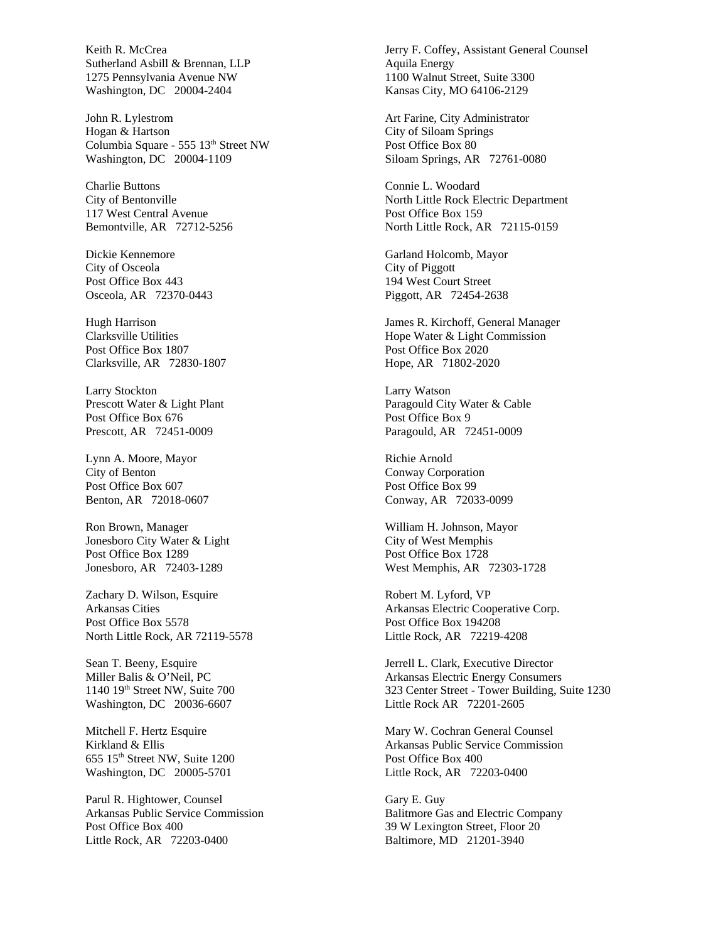Keith R. McCrea Sutherland Asbill & Brennan, LLP 1275 Pennsylvania Avenue NW Washington, DC 20004-2404

John R. Lylestrom Hogan & Hartson Columbia Square - 555 13<sup>th</sup> Street NW Washington, DC 20004-1109

Charlie Buttons City of Bentonville 117 West Central Avenue Bemontville, AR 72712-5256

Dickie Kennemore City of Osceola Post Office Box 443 Osceola, AR 72370-0443

Hugh Harrison Clarksville Utilities Post Office Box 1807 Clarksville, AR 72830-1807

Larry Stockton Prescott Water & Light Plant Post Office Box 676 Prescott, AR 72451-0009

Lynn A. Moore, Mayor City of Benton Post Office Box 607 Benton, AR 72018-0607

Ron Brown, Manager Jonesboro City Water & Light Post Office Box 1289 Jonesboro, AR 72403-1289

Zachary D. Wilson, Esquire Arkansas Cities Post Office Box 5578 North Little Rock, AR 72119-5578

Sean T. Beeny, Esquire Miller Balis & O'Neil, PC 1140 19<sup>th</sup> Street NW, Suite 700 Washington, DC 20036-6607

Mitchell F. Hertz Esquire Kirkland & Ellis 655 15th Street NW, Suite 1200 Washington, DC 20005-5701

Parul R. Hightower, Counsel Arkansas Public Service Commission Post Office Box 400 Little Rock, AR 72203-0400

Jerry F. Coffey, Assistant General Counsel Aquila Energy 1100 Walnut Street, Suite 3300 Kansas City, MO 64106-2129

Art Farine, City Administrator City of Siloam Springs Post Office Box 80 Siloam Springs, AR 72761-0080

Connie L. Woodard North Little Rock Electric Department Post Office Box 159 North Little Rock, AR 72115-0159

Garland Holcomb, Mayor City of Piggott 194 West Court Street Piggott, AR 72454-2638

James R. Kirchoff, General Manager Hope Water & Light Commission Post Office Box 2020 Hope, AR 71802-2020

Larry Watson Paragould City Water & Cable Post Office Box 9 Paragould, AR 72451-0009

Richie Arnold Conway Corporation Post Office Box 99 Conway, AR 72033-0099

William H. Johnson, Mayor City of West Memphis Post Office Box 1728 West Memphis, AR 72303-1728

Robert M. Lyford, VP Arkansas Electric Cooperative Corp. Post Office Box 194208 Little Rock, AR 72219-4208

Jerrell L. Clark, Executive Director Arkansas Electric Energy Consumers 323 Center Street - Tower Building, Suite 1230 Little Rock AR 72201-2605

Mary W. Cochran General Counsel Arkansas Public Service Commission Post Office Box 400 Little Rock, AR 72203-0400

Gary E. Guy Balitmore Gas and Electric Company 39 W Lexington Street, Floor 20 Baltimore, MD 21201-3940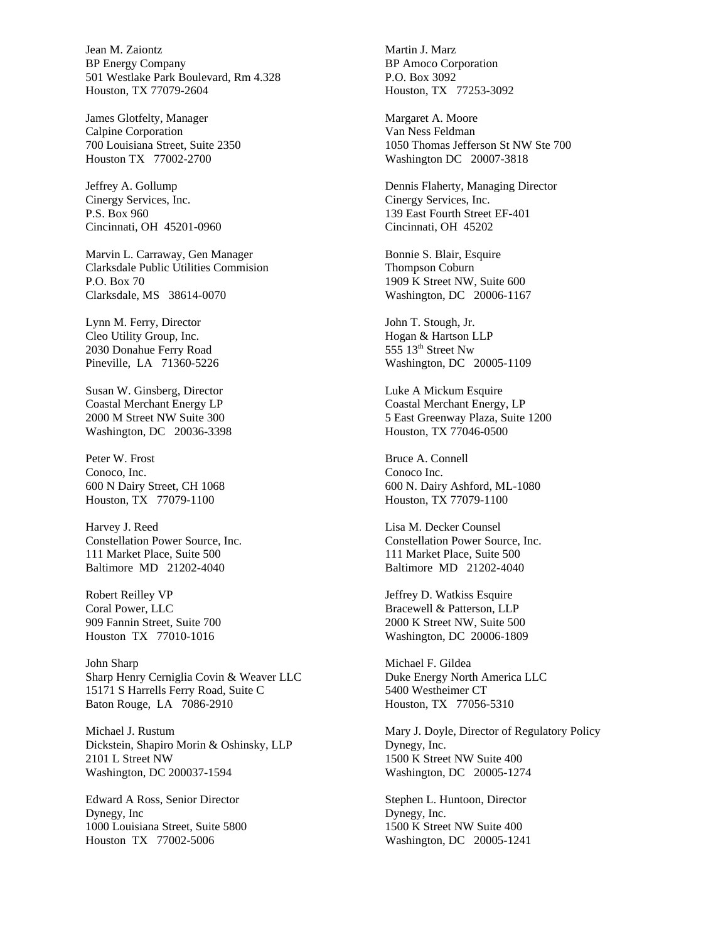Jean M. Zaiontz BP Energy Company 501 Westlake Park Boulevard, Rm 4.328 Houston, TX 77079-2604

James Glotfelty, Manager Calpine Corporation 700 Louisiana Street, Suite 2350 Houston TX 77002-2700

Jeffrey A. Gollump Cinergy Services, Inc. P.S. Box 960 Cincinnati, OH 45201-0960

Marvin L. Carraway, Gen Manager Clarksdale Public Utilities Commision P.O. Box 70 Clarksdale, MS 38614-0070

Lynn M. Ferry, Director Cleo Utility Group, Inc. 2030 Donahue Ferry Road Pineville, LA 71360-5226

Susan W. Ginsberg, Director Coastal Merchant Energy LP 2000 M Street NW Suite 300 Washington, DC 20036-3398

Peter W. Frost Conoco, Inc. 600 N Dairy Street, CH 1068 Houston, TX 77079-1100

Harvey J. Reed Constellation Power Source, Inc. 111 Market Place, Suite 500 Baltimore MD 21202-4040

Robert Reilley VP Coral Power, LLC 909 Fannin Street, Suite 700 Houston TX 77010-1016

John Sharp Sharp Henry Cerniglia Covin & Weaver LLC 15171 S Harrells Ferry Road, Suite C Baton Rouge, LA 7086-2910

Michael J. Rustum Dickstein, Shapiro Morin & Oshinsky, LLP 2101 L Street NW Washington, DC 200037-1594

Edward A Ross, Senior Director Dynegy, Inc 1000 Louisiana Street, Suite 5800 Houston TX 77002-5006

Martin J. Marz BP Amoco Corporation P.O. Box 3092 Houston, TX 77253-3092

Margaret A. Moore Van Ness Feldman 1050 Thomas Jefferson St NW Ste 700 Washington DC 20007-3818

Dennis Flaherty, Managing Director Cinergy Services, Inc. 139 East Fourth Street EF-401 Cincinnati, OH 45202

Bonnie S. Blair, Esquire Thompson Coburn 1909 K Street NW, Suite 600 Washington, DC 20006-1167

John T. Stough, Jr. Hogan & Hartson LLP  $555$   $13<sup>th</sup>$  Street Nw Washington, DC 20005-1109

Luke A Mickum Esquire Coastal Merchant Energy, LP 5 East Greenway Plaza, Suite 1200 Houston, TX 77046-0500

Bruce A. Connell Conoco Inc. 600 N. Dairy Ashford, ML-1080 Houston, TX 77079-1100

Lisa M. Decker Counsel Constellation Power Source, Inc. 111 Market Place, Suite 500 Baltimore MD 21202-4040

Jeffrey D. Watkiss Esquire Bracewell & Patterson, LLP 2000 K Street NW, Suite 500 Washington, DC 20006-1809

Michael F. Gildea Duke Energy North America LLC 5400 Westheimer CT Houston, TX 77056-5310

Mary J. Doyle, Director of Regulatory Policy Dynegy, Inc. 1500 K Street NW Suite 400 Washington, DC 20005-1274

Stephen L. Huntoon, Director Dynegy, Inc. 1500 K Street NW Suite 400 Washington, DC 20005-1241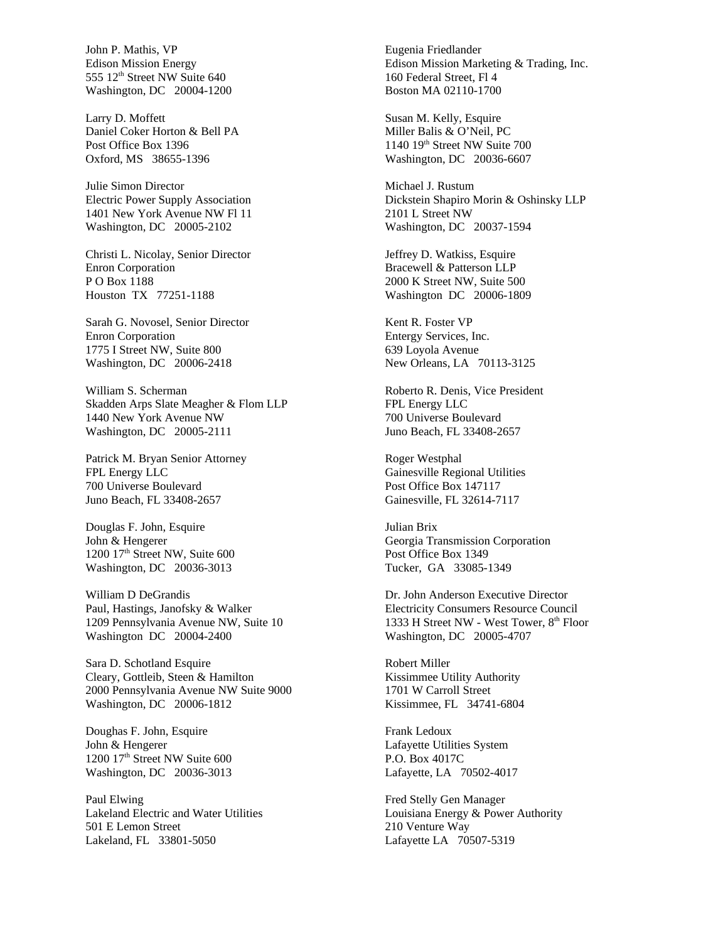John P. Mathis, VP Edison Mission Energy 555 12<sup>th</sup> Street NW Suite 640 Washington, DC 20004-1200

Larry D. Moffett Daniel Coker Horton & Bell PA Post Office Box 1396 Oxford, MS 38655-1396

Julie Simon Director Electric Power Supply Association 1401 New York Avenue NW Fl 11 Washington, DC 20005-2102

Christi L. Nicolay, Senior Director Enron Corporation P O Box 1188 Houston TX 77251-1188

Sarah G. Novosel, Senior Director Enron Corporation 1775 I Street NW, Suite 800 Washington, DC 20006-2418

William S. Scherman Skadden Arps Slate Meagher & Flom LLP 1440 New York Avenue NW Washington, DC 20005-2111

Patrick M. Bryan Senior Attorney FPL Energy LLC 700 Universe Boulevard Juno Beach, FL 33408-2657

Douglas F. John, Esquire John & Hengerer  $1200$   $17<sup>th</sup>$  Street NW, Suite 600 Washington, DC 20036-3013

William D DeGrandis Paul, Hastings, Janofsky & Walker 1209 Pennsylvania Avenue NW, Suite 10 Washington DC 20004-2400

Sara D. Schotland Esquire Cleary, Gottleib, Steen & Hamilton 2000 Pennsylvania Avenue NW Suite 9000 Washington, DC 20006-1812

Doughas F. John, Esquire John & Hengerer 1200 17<sup>th</sup> Street NW Suite 600 Washington, DC 20036-3013

Paul Elwing Lakeland Electric and Water Utilities 501 E Lemon Street Lakeland, FL 33801-5050

Eugenia Friedlander Edison Mission Marketing & Trading, Inc. 160 Federal Street, Fl 4 Boston MA 02110-1700

Susan M. Kelly, Esquire Miller Balis & O'Neil, PC 1140 19<sup>th</sup> Street NW Suite 700 Washington, DC 20036-6607

Michael J. Rustum Dickstein Shapiro Morin & Oshinsky LLP 2101 L Street NW Washington, DC 20037-1594

Jeffrey D. Watkiss, Esquire Bracewell & Patterson LLP 2000 K Street NW, Suite 500 Washington DC 20006-1809

Kent R. Foster VP Entergy Services, Inc. 639 Loyola Avenue New Orleans, LA 70113-3125

Roberto R. Denis, Vice President FPL Energy LLC 700 Universe Boulevard Juno Beach, FL 33408-2657

Roger Westphal Gainesville Regional Utilities Post Office Box 147117 Gainesville, FL 32614-7117

Julian Brix Georgia Transmission Corporation Post Office Box 1349 Tucker, GA 33085-1349

Dr. John Anderson Executive Director Electricity Consumers Resource Council 1333 H Street NW - West Tower, 8<sup>th</sup> Floor Washington, DC 20005-4707

Robert Miller Kissimmee Utility Authority 1701 W Carroll Street Kissimmee, FL 34741-6804

Frank Ledoux Lafayette Utilities System P.O. Box 4017C Lafayette, LA 70502-4017

Fred Stelly Gen Manager Louisiana Energy & Power Authority 210 Venture Way Lafayette LA 70507-5319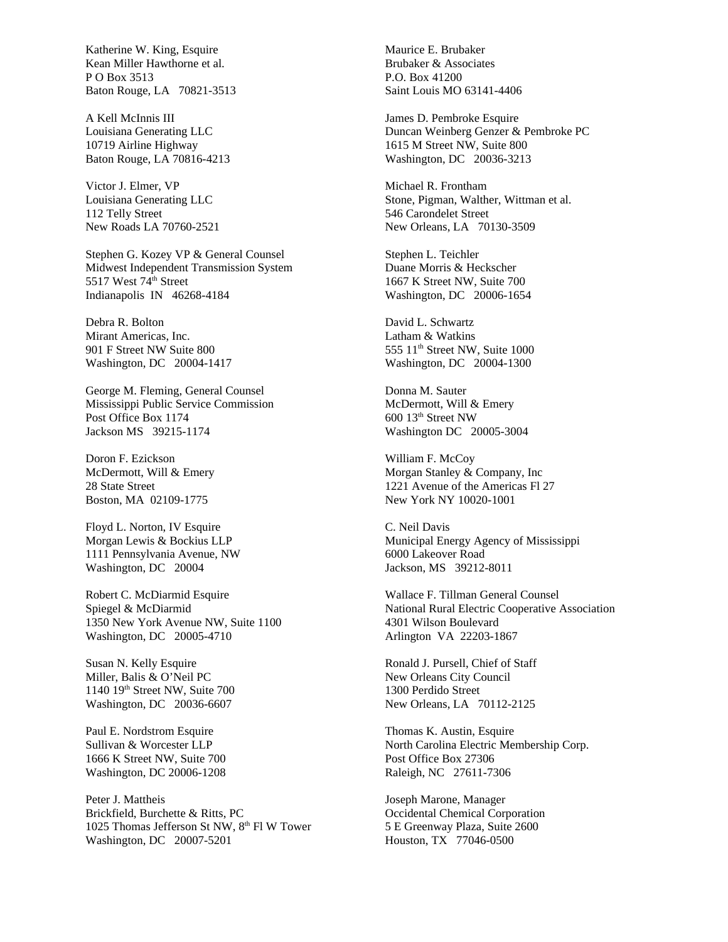Katherine W. King, Esquire Kean Miller Hawthorne et al. P O Box 3513 Baton Rouge, LA 70821-3513

A Kell McInnis III Louisiana Generating LLC 10719 Airline Highway Baton Rouge, LA 70816-4213

Victor J. Elmer, VP Louisiana Generating LLC 112 Telly Street New Roads LA 70760-2521

Stephen G. Kozey VP & General Counsel Midwest Independent Transmission System 5517 West 74th Street Indianapolis IN 46268-4184

Debra R. Bolton Mirant Americas, Inc. 901 F Street NW Suite 800 Washington, DC 20004-1417

George M. Fleming, General Counsel Mississippi Public Service Commission Post Office Box 1174 Jackson MS 39215-1174

Doron F. Ezickson McDermott, Will & Emery 28 State Street Boston, MA 02109-1775

Floyd L. Norton, IV Esquire Morgan Lewis & Bockius LLP 1111 Pennsylvania Avenue, NW Washington, DC 20004

Robert C. McDiarmid Esquire Spiegel & McDiarmid 1350 New York Avenue NW, Suite 1100 Washington, DC 20005-4710

Susan N. Kelly Esquire Miller, Balis & O'Neil PC 1140 19th Street NW, Suite 700 Washington, DC 20036-6607

Paul E. Nordstrom Esquire Sullivan & Worcester LLP 1666 K Street NW, Suite 700 Washington, DC 20006-1208

Peter J. Mattheis Brickfield, Burchette & Ritts, PC 1025 Thomas Jefferson St NW, 8<sup>th</sup> Fl W Tower Washington, DC 20007-5201

Maurice E. Brubaker Brubaker & Associates P.O. Box 41200 Saint Louis MO 63141-4406

James D. Pembroke Esquire Duncan Weinberg Genzer & Pembroke PC 1615 M Street NW, Suite 800 Washington, DC 20036-3213

Michael R. Frontham Stone, Pigman, Walther, Wittman et al. 546 Carondelet Street New Orleans, LA 70130-3509

Stephen L. Teichler Duane Morris & Heckscher 1667 K Street NW, Suite 700 Washington, DC 20006-1654

David L. Schwartz Latham & Watkins 555 11<sup>th</sup> Street NW, Suite 1000 Washington, DC 20004-1300

Donna M. Sauter McDermott, Will & Emery 600 13th Street NW Washington DC 20005-3004

William F. McCoy Morgan Stanley & Company, Inc 1221 Avenue of the Americas Fl 27 New York NY 10020-1001

C. Neil Davis Municipal Energy Agency of Mississippi 6000 Lakeover Road Jackson, MS 39212-8011

Wallace F. Tillman General Counsel National Rural Electric Cooperative Association 4301 Wilson Boulevard Arlington VA 22203-1867

Ronald J. Pursell, Chief of Staff New Orleans City Council 1300 Perdido Street New Orleans, LA 70112-2125

Thomas K. Austin, Esquire North Carolina Electric Membership Corp. Post Office Box 27306 Raleigh, NC 27611-7306

Joseph Marone, Manager Occidental Chemical Corporation 5 E Greenway Plaza, Suite 2600 Houston, TX 77046-0500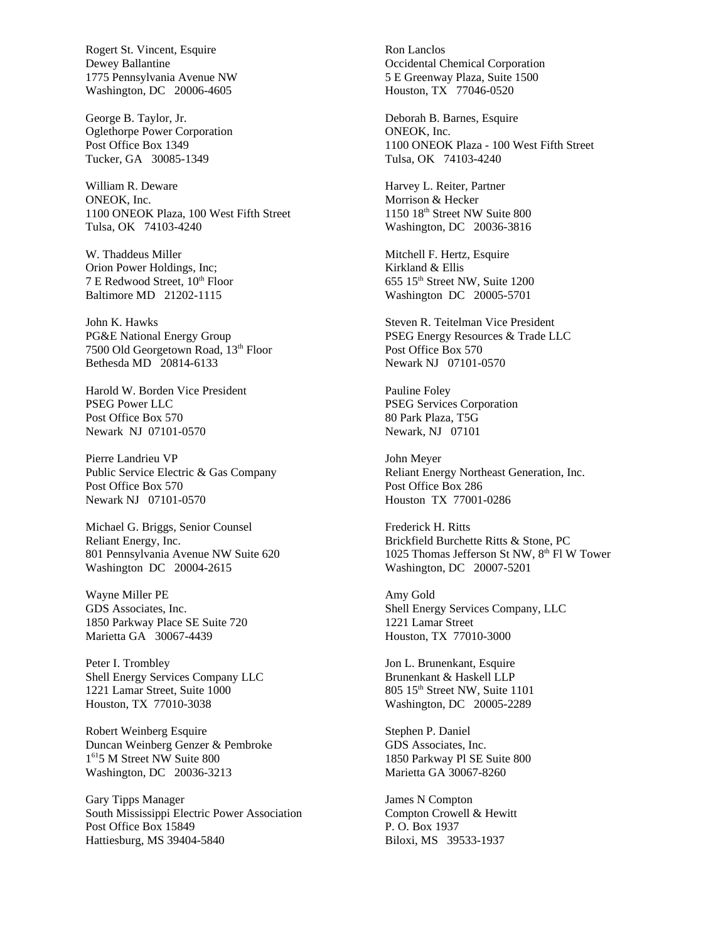Rogert St. Vincent, Esquire Dewey Ballantine 1775 Pennsylvania Avenue NW Washington, DC 20006-4605

George B. Taylor, Jr. Oglethorpe Power Corporation Post Office Box 1349 Tucker, GA 30085-1349

William R. Deware ONEOK, Inc. 1100 ONEOK Plaza, 100 West Fifth Street Tulsa, OK 74103-4240

W. Thaddeus Miller Orion Power Holdings, Inc; 7 E Redwood Street, 10<sup>th</sup> Floor Baltimore MD 21202-1115

John K. Hawks PG&E National Energy Group 7500 Old Georgetown Road, 13<sup>th</sup> Floor Bethesda MD 20814-6133

Harold W. Borden Vice President PSEG Power LLC Post Office Box 570 Newark NJ 07101-0570

Pierre Landrieu VP Public Service Electric & Gas Company Post Office Box 570 Newark NJ 07101-0570

Michael G. Briggs, Senior Counsel Reliant Energy, Inc. 801 Pennsylvania Avenue NW Suite 620 Washington DC 20004-2615

Wayne Miller PE GDS Associates, Inc. 1850 Parkway Place SE Suite 720 Marietta GA 30067-4439

Peter I. Trombley Shell Energy Services Company LLC 1221 Lamar Street, Suite 1000 Houston, TX 77010-3038

Robert Weinberg Esquire Duncan Weinberg Genzer & Pembroke 1 <sup>61</sup>5 M Street NW Suite 800 Washington, DC 20036-3213

Gary Tipps Manager South Mississippi Electric Power Association Post Office Box 15849 Hattiesburg, MS 39404-5840

Ron Lanclos Occidental Chemical Corporation 5 E Greenway Plaza, Suite 1500 Houston, TX 77046-0520

Deborah B. Barnes, Esquire ONEOK, Inc. 1100 ONEOK Plaza - 100 West Fifth Street Tulsa, OK 74103-4240

Harvey L. Reiter, Partner Morrison & Hecker 1150 18th Street NW Suite 800 Washington, DC 20036-3816

Mitchell F. Hertz, Esquire Kirkland & Ellis 655 15th Street NW, Suite 1200 Washington DC 20005-5701

Steven R. Teitelman Vice President PSEG Energy Resources & Trade LLC Post Office Box 570 Newark NJ 07101-0570

Pauline Foley PSEG Services Corporation 80 Park Plaza, T5G Newark, NJ 07101

John Meyer Reliant Energy Northeast Generation, Inc. Post Office Box 286 Houston TX 77001-0286

Frederick H. Ritts Brickfield Burchette Ritts & Stone, PC 1025 Thomas Jefferson St NW, 8<sup>th</sup> Fl W Tower Washington, DC 20007-5201

Amy Gold Shell Energy Services Company, LLC 1221 Lamar Street Houston, TX 77010-3000

Jon L. Brunenkant, Esquire Brunenkant & Haskell LLP 805 15th Street NW, Suite 1101 Washington, DC 20005-2289

Stephen P. Daniel GDS Associates, Inc. 1850 Parkway Pl SE Suite 800 Marietta GA 30067-8260

James N Compton Compton Crowell & Hewitt P. O. Box 1937 Biloxi, MS 39533-1937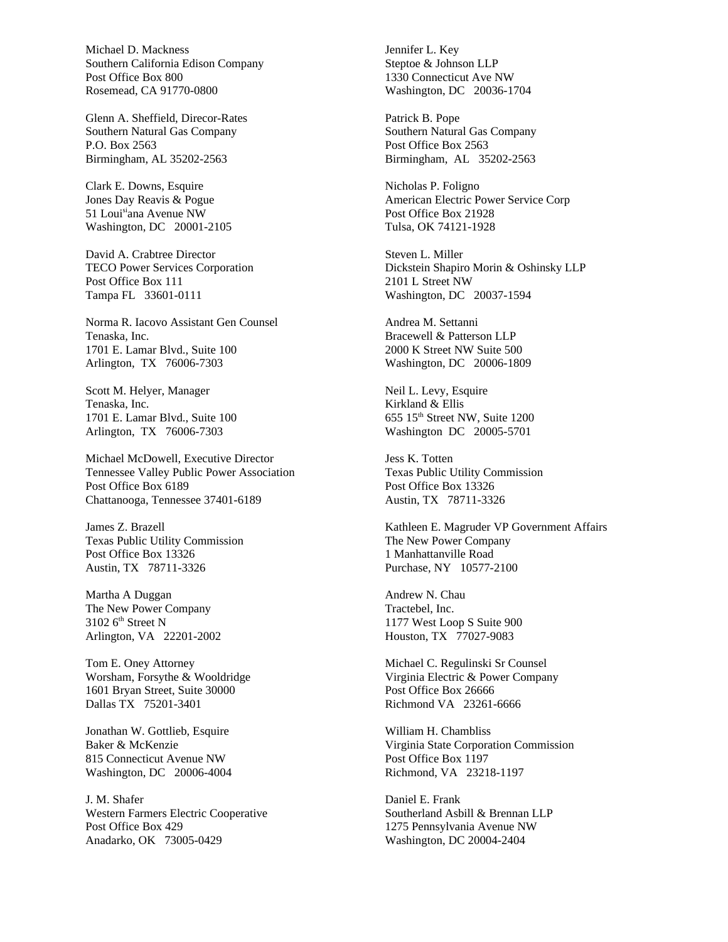Michael D. Mackness Southern California Edison Company Post Office Box 800 Rosemead, CA 91770-0800

Glenn A. Sheffield, Direcor-Rates Southern Natural Gas Company P.O. Box 2563 Birmingham, AL 35202-2563

Clark E. Downs, Esquire Jones Day Reavis & Pogue 51 Louisiana Avenue NW Washington, DC 20001-2105

David A. Crabtree Director TECO Power Services Corporation Post Office Box 111 Tampa FL 33601-0111

Norma R. Iacovo Assistant Gen Counsel Tenaska, Inc. 1701 E. Lamar Blvd., Suite 100 Arlington, TX 76006-7303

Scott M. Helyer, Manager Tenaska, Inc. 1701 E. Lamar Blvd., Suite 100 Arlington, TX 76006-7303

Michael McDowell, Executive Director Tennessee Valley Public Power Association Post Office Box 6189 Chattanooga, Tennessee 37401-6189

James Z. Brazell Texas Public Utility Commission Post Office Box 13326 Austin, TX 78711-3326

Martha A Duggan The New Power Company 3102 6<sup>th</sup> Street N Arlington, VA 22201-2002

Tom E. Oney Attorney Worsham, Forsythe & Wooldridge 1601 Bryan Street, Suite 30000 Dallas TX 75201-3401

Jonathan W. Gottlieb, Esquire Baker & McKenzie 815 Connecticut Avenue NW Washington, DC 20006-4004

J. M. Shafer Western Farmers Electric Cooperative Post Office Box 429 Anadarko, OK 73005-0429

Jennifer L. Key Steptoe & Johnson LLP 1330 Connecticut Ave NW Washington, DC 20036-1704

Patrick B. Pope Southern Natural Gas Company Post Office Box 2563 Birmingham, AL 35202-2563

Nicholas P. Foligno American Electric Power Service Corp Post Office Box 21928 Tulsa, OK 74121-1928

Steven L. Miller Dickstein Shapiro Morin & Oshinsky LLP 2101 L Street NW Washington, DC 20037-1594

Andrea M. Settanni Bracewell & Patterson LLP 2000 K Street NW Suite 500 Washington, DC 20006-1809

Neil L. Levy, Esquire Kirkland & Ellis 655 15<sup>th</sup> Street NW, Suite 1200 Washington DC 20005-5701

Jess K. Totten Texas Public Utility Commission Post Office Box 13326 Austin, TX 78711-3326

Kathleen E. Magruder VP Government Affairs The New Power Company 1 Manhattanville Road Purchase, NY 10577-2100

Andrew N. Chau Tractebel, Inc. 1177 West Loop S Suite 900 Houston, TX 77027-9083

Michael C. Regulinski Sr Counsel Virginia Electric & Power Company Post Office Box 26666 Richmond VA 23261-6666

William H. Chambliss Virginia State Corporation Commission Post Office Box 1197 Richmond, VA 23218-1197

Daniel E. Frank Southerland Asbill & Brennan LLP 1275 Pennsylvania Avenue NW Washington, DC 20004-2404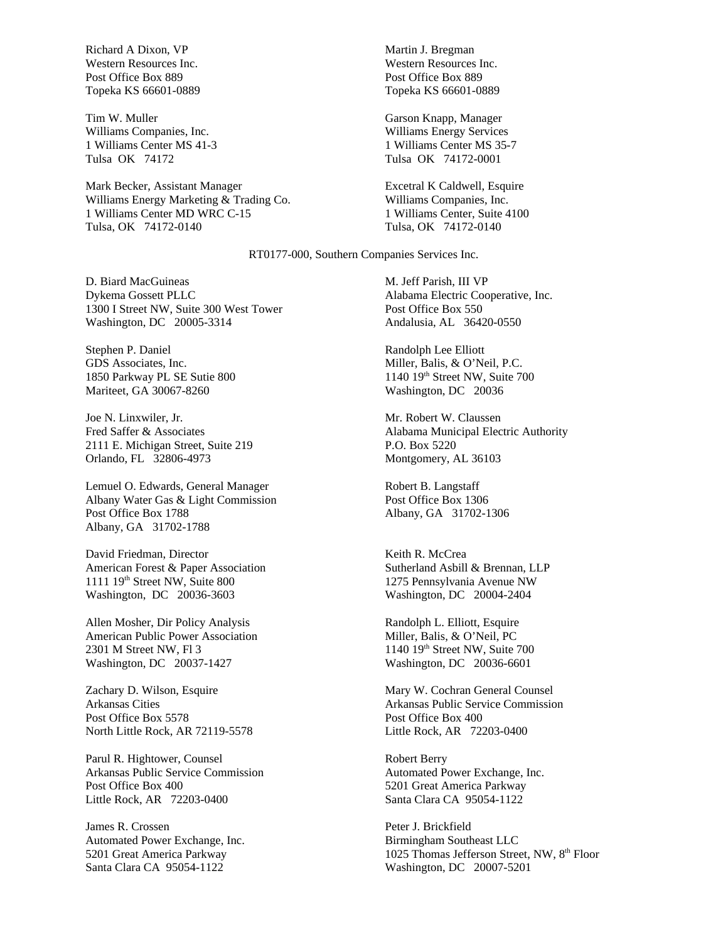Richard A Dixon, VP Western Resources Inc. Post Office Box 889 Topeka KS 66601-0889

Tim W. Muller Williams Companies, Inc. 1 Williams Center MS 41-3 Tulsa OK 74172

Mark Becker, Assistant Manager Williams Energy Marketing & Trading Co. 1 Williams Center MD WRC C-15 Tulsa, OK 74172-0140

Martin J. Bregman Western Resources Inc. Post Office Box 889 Topeka KS 66601-0889

Garson Knapp, Manager Williams Energy Services 1 Williams Center MS 35-7 Tulsa OK 74172-0001

Excetral K Caldwell, Esquire Williams Companies, Inc. 1 Williams Center, Suite 4100 Tulsa, OK 74172-0140

RT0177-000, Southern Companies Services Inc.

D. Biard MacGuineas Dykema Gossett PLLC 1300 I Street NW, Suite 300 West Tower Washington, DC 20005-3314

Stephen P. Daniel GDS Associates, Inc. 1850 Parkway PL SE Sutie 800 Mariteet, GA 30067-8260

Joe N. Linxwiler, Jr. Fred Saffer & Associates 2111 E. Michigan Street, Suite 219 Orlando, FL 32806-4973

Lemuel O. Edwards, General Manager Albany Water Gas & Light Commission Post Office Box 1788 Albany, GA 31702-1788

David Friedman, Director American Forest & Paper Association 1111 19th Street NW, Suite 800 Washington, DC 20036-3603

Allen Mosher, Dir Policy Analysis American Public Power Association 2301 M Street NW, Fl 3 Washington, DC 20037-1427

Zachary D. Wilson, Esquire Arkansas Cities Post Office Box 5578 North Little Rock, AR 72119-5578

Parul R. Hightower, Counsel Arkansas Public Service Commission Post Office Box 400 Little Rock, AR 72203-0400

James R. Crossen Automated Power Exchange, Inc. 5201 Great America Parkway Santa Clara CA 95054-1122

M. Jeff Parish, III VP Alabama Electric Cooperative, Inc. Post Office Box 550 Andalusia, AL 36420-0550

Randolph Lee Elliott Miller, Balis, & O'Neil, P.C. 1140 19th Street NW, Suite 700 Washington, DC 20036

Mr. Robert W. Claussen Alabama Municipal Electric Authority P.O. Box 5220 Montgomery, AL 36103

Robert B. Langstaff Post Office Box 1306 Albany, GA 31702-1306

Keith R. McCrea Sutherland Asbill & Brennan, LLP 1275 Pennsylvania Avenue NW Washington, DC 20004-2404

Randolph L. Elliott, Esquire Miller, Balis, & O'Neil, PC 1140 19th Street NW, Suite 700 Washington, DC 20036-6601

Mary W. Cochran General Counsel Arkansas Public Service Commission Post Office Box 400 Little Rock, AR 72203-0400

Robert Berry Automated Power Exchange, Inc. 5201 Great America Parkway Santa Clara CA 95054-1122

Peter J. Brickfield Birmingham Southeast LLC 1025 Thomas Jefferson Street, NW, 8<sup>th</sup> Floor Washington, DC 20007-5201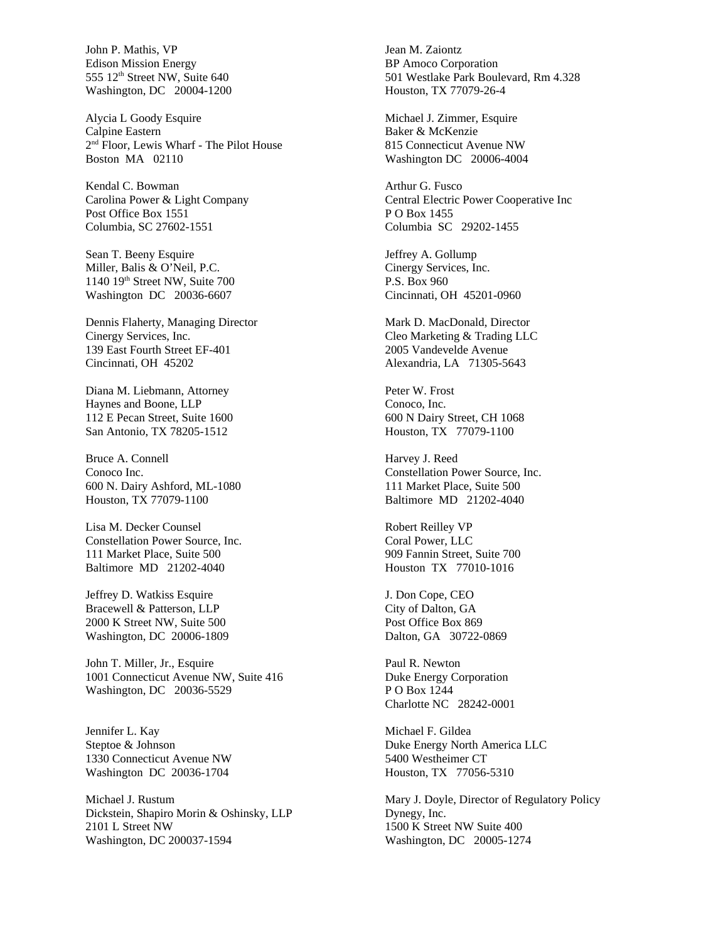John P. Mathis, VP Edison Mission Energy 555 12<sup>th</sup> Street NW, Suite 640 Washington, DC 20004-1200

Alycia L Goody Esquire Calpine Eastern 2 nd Floor, Lewis Wharf - The Pilot House Boston MA 02110

Kendal C. Bowman Carolina Power & Light Company Post Office Box 1551 Columbia, SC 27602-1551

Sean T. Beeny Esquire Miller, Balis & O'Neil, P.C. 1140 19th Street NW, Suite 700 Washington DC 20036-6607

Dennis Flaherty, Managing Director Cinergy Services, Inc. 139 East Fourth Street EF-401 Cincinnati, OH 45202

Diana M. Liebmann, Attorney Haynes and Boone, LLP 112 E Pecan Street, Suite 1600 San Antonio, TX 78205-1512

Bruce A. Connell Conoco Inc. 600 N. Dairy Ashford, ML-1080 Houston, TX 77079-1100

Lisa M. Decker Counsel Constellation Power Source, Inc. 111 Market Place, Suite 500 Baltimore MD 21202-4040

Jeffrey D. Watkiss Esquire Bracewell & Patterson, LLP 2000 K Street NW, Suite 500 Washington, DC 20006-1809

John T. Miller, Jr., Esquire 1001 Connecticut Avenue NW, Suite 416 Washington, DC 20036-5529

Jennifer L. Kay Steptoe & Johnson 1330 Connecticut Avenue NW Washington DC 20036-1704

Michael J. Rustum Dickstein, Shapiro Morin & Oshinsky, LLP 2101 L Street NW Washington, DC 200037-1594

Jean M. Zaiontz BP Amoco Corporation 501 Westlake Park Boulevard, Rm 4.328 Houston, TX 77079-26-4

Michael J. Zimmer, Esquire Baker & McKenzie 815 Connecticut Avenue NW Washington DC 20006-4004

Arthur G. Fusco Central Electric Power Cooperative Inc P O Box 1455 Columbia SC 29202-1455

Jeffrey A. Gollump Cinergy Services, Inc. P.S. Box 960 Cincinnati, OH 45201-0960

Mark D. MacDonald, Director Cleo Marketing & Trading LLC 2005 Vandevelde Avenue Alexandria, LA 71305-5643

Peter W. Frost Conoco, Inc. 600 N Dairy Street, CH 1068 Houston, TX 77079-1100

Harvey J. Reed Constellation Power Source, Inc. 111 Market Place, Suite 500 Baltimore MD 21202-4040

Robert Reilley VP Coral Power, LLC 909 Fannin Street, Suite 700 Houston TX 77010-1016

J. Don Cope, CEO City of Dalton, GA Post Office Box 869 Dalton, GA 30722-0869

Paul R. Newton Duke Energy Corporation P O Box 1244 Charlotte NC 28242-0001

Michael F. Gildea Duke Energy North America LLC 5400 Westheimer CT Houston, TX 77056-5310

Mary J. Doyle, Director of Regulatory Policy Dynegy, Inc. 1500 K Street NW Suite 400 Washington, DC 20005-1274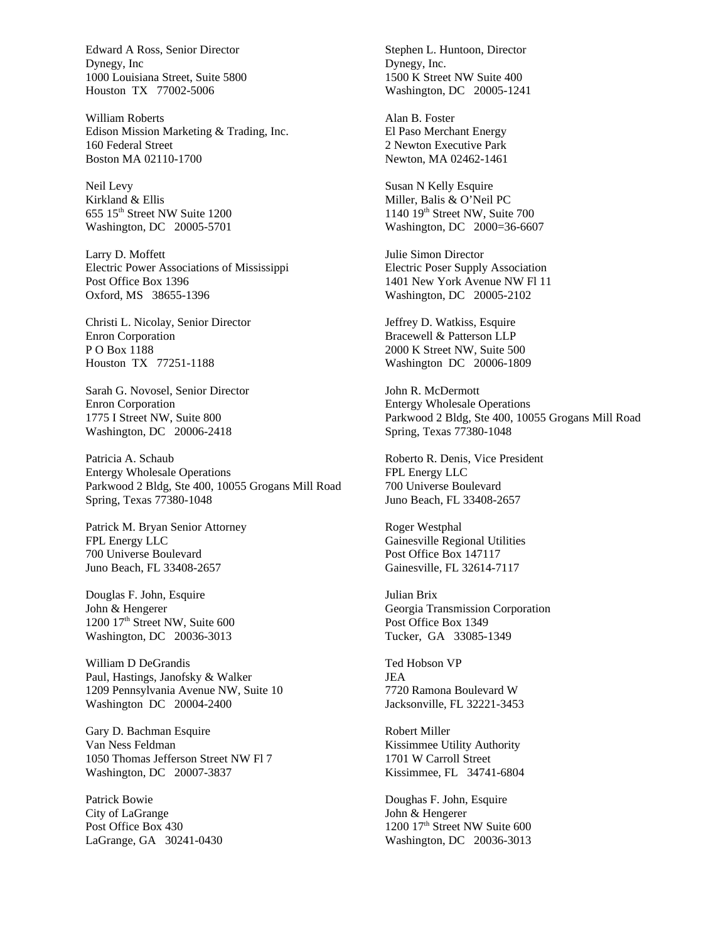Edward A Ross, Senior Director Dynegy, Inc 1000 Louisiana Street, Suite 5800 Houston TX 77002-5006

William Roberts Edison Mission Marketing & Trading, Inc. 160 Federal Street Boston MA 02110-1700

Neil Levy Kirkland & Ellis 655 15th Street NW Suite 1200 Washington, DC 20005-5701

Larry D. Moffett Electric Power Associations of Mississippi Post Office Box 1396 Oxford, MS 38655-1396

Christi L. Nicolay, Senior Director Enron Corporation P O Box 1188 Houston TX 77251-1188

Sarah G. Novosel, Senior Director Enron Corporation 1775 I Street NW, Suite 800 Washington, DC 20006-2418

Patricia A. Schaub Entergy Wholesale Operations Parkwood 2 Bldg, Ste 400, 10055 Grogans Mill Road Spring, Texas 77380-1048

Patrick M. Bryan Senior Attorney FPL Energy LLC 700 Universe Boulevard Juno Beach, FL 33408-2657

Douglas F. John, Esquire John & Hengerer 1200 17<sup>th</sup> Street NW, Suite 600 Washington, DC 20036-3013

William D DeGrandis Paul, Hastings, Janofsky & Walker 1209 Pennsylvania Avenue NW, Suite 10 Washington DC 20004-2400

Gary D. Bachman Esquire Van Ness Feldman 1050 Thomas Jefferson Street NW Fl 7 Washington, DC 20007-3837

Patrick Bowie City of LaGrange Post Office Box 430 LaGrange, GA 30241-0430 Stephen L. Huntoon, Director Dynegy, Inc. 1500 K Street NW Suite 400 Washington, DC 20005-1241

Alan B. Foster El Paso Merchant Energy 2 Newton Executive Park Newton, MA 02462-1461

Susan N Kelly Esquire Miller, Balis & O'Neil PC 1140 19th Street NW, Suite 700 Washington, DC 2000=36-6607

Julie Simon Director Electric Poser Supply Association 1401 New York Avenue NW Fl 11 Washington, DC 20005-2102

Jeffrey D. Watkiss, Esquire Bracewell & Patterson LLP 2000 K Street NW, Suite 500 Washington DC 20006-1809

John R. McDermott Entergy Wholesale Operations Parkwood 2 Bldg, Ste 400, 10055 Grogans Mill Road Spring, Texas 77380-1048

Roberto R. Denis, Vice President FPL Energy LLC 700 Universe Boulevard Juno Beach, FL 33408-2657

Roger Westphal Gainesville Regional Utilities Post Office Box 147117 Gainesville, FL 32614-7117

Julian Brix Georgia Transmission Corporation Post Office Box 1349 Tucker, GA 33085-1349

Ted Hobson VP JEA 7720 Ramona Boulevard W Jacksonville, FL 32221-3453

Robert Miller Kissimmee Utility Authority 1701 W Carroll Street Kissimmee, FL 34741-6804

Doughas F. John, Esquire John & Hengerer  $1200$   $17<sup>th</sup>$  Street NW Suite 600 Washington, DC 20036-3013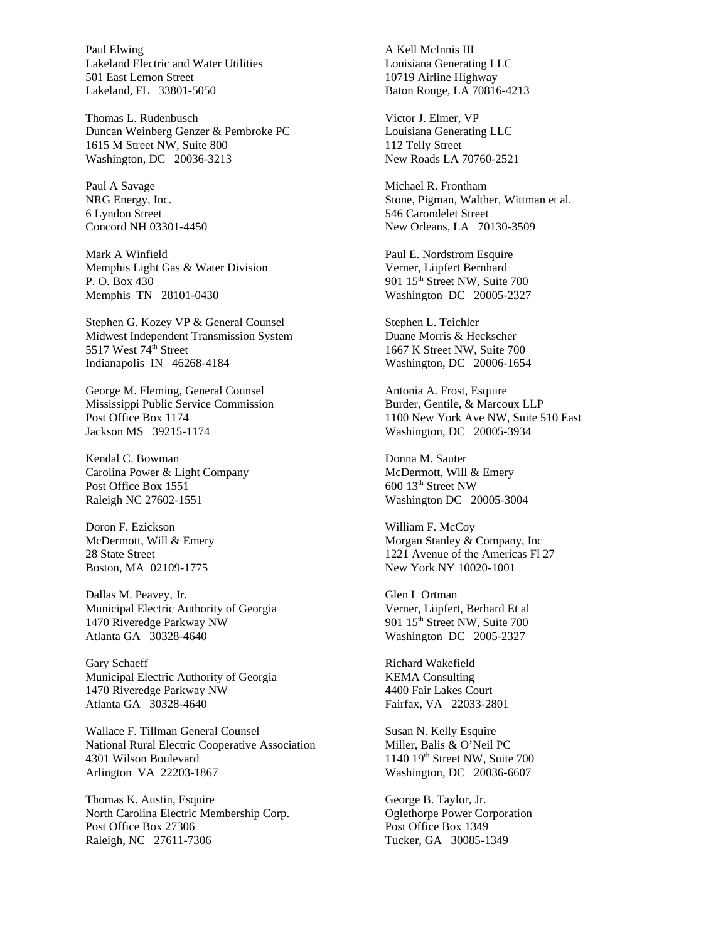Paul Elwing Lakeland Electric and Water Utilities 501 East Lemon Street Lakeland, FL 33801-5050

Thomas L. Rudenbusch Duncan Weinberg Genzer & Pembroke PC 1615 M Street NW, Suite 800 Washington, DC 20036-3213

Paul A Savage NRG Energy, Inc. 6 Lyndon Street Concord NH 03301-4450

Mark A Winfield Memphis Light Gas & Water Division P. O. Box 430 Memphis TN 28101-0430

Stephen G. Kozey VP & General Counsel Midwest Independent Transmission System 5517 West  $74<sup>th</sup>$  Street Indianapolis IN 46268-4184

George M. Fleming, General Counsel Mississippi Public Service Commission Post Office Box 1174 Jackson MS 39215-1174

Kendal C. Bowman Carolina Power & Light Company Post Office Box 1551 Raleigh NC 27602-1551

Doron F. Ezickson McDermott, Will & Emery 28 State Street Boston, MA 02109-1775

Dallas M. Peavey, Jr. Municipal Electric Authority of Georgia 1470 Riveredge Parkway NW Atlanta GA 30328-4640

Gary Schaeff Municipal Electric Authority of Georgia 1470 Riveredge Parkway NW Atlanta GA 30328-4640

Wallace F. Tillman General Counsel National Rural Electric Cooperative Association 4301 Wilson Boulevard Arlington VA 22203-1867

Thomas K. Austin, Esquire North Carolina Electric Membership Corp. Post Office Box 27306 Raleigh, NC 27611-7306

A Kell McInnis III Louisiana Generating LLC 10719 Airline Highway Baton Rouge, LA 70816-4213

Victor J. Elmer, VP Louisiana Generating LLC 112 Telly Street New Roads LA 70760-2521

Michael R. Frontham Stone, Pigman, Walther, Wittman et al. 546 Carondelet Street New Orleans, LA 70130-3509

Paul E. Nordstrom Esquire Verner, Liipfert Bernhard 901 15<sup>th</sup> Street NW, Suite 700 Washington DC 20005-2327

Stephen L. Teichler Duane Morris & Heckscher 1667 K Street NW, Suite 700 Washington, DC 20006-1654

Antonia A. Frost, Esquire Burder, Gentile, & Marcoux LLP 1100 New York Ave NW, Suite 510 East Washington, DC 20005-3934

Donna M. Sauter McDermott, Will & Emery 600 13th Street NW Washington DC 20005-3004

William F. McCoy Morgan Stanley & Company, Inc 1221 Avenue of the Americas Fl 27 New York NY 10020-1001

Glen L Ortman Verner, Liipfert, Berhard Et al 901 15<sup>th</sup> Street NW, Suite 700 Washington DC 2005-2327

Richard Wakefield KEMA Consulting 4400 Fair Lakes Court Fairfax, VA 22033-2801

Susan N. Kelly Esquire Miller, Balis & O'Neil PC  $1140$   $19<sup>th</sup>$  Street NW, Suite 700 Washington, DC 20036-6607

George B. Taylor, Jr. Oglethorpe Power Corporation Post Office Box 1349 Tucker, GA 30085-1349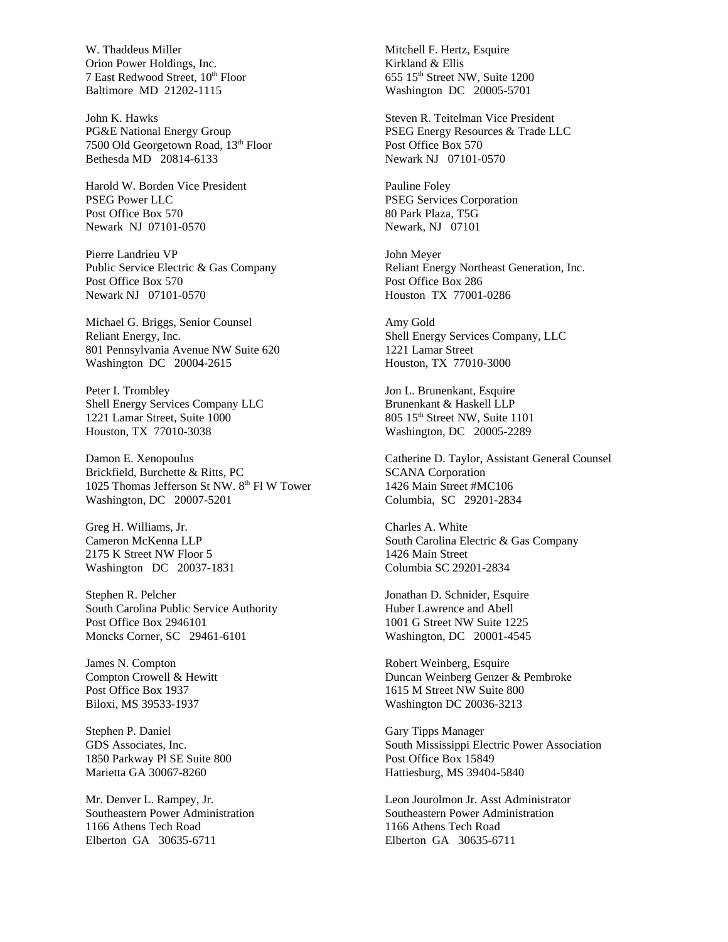W. Thaddeus Miller Orion Power Holdings, Inc. 7 East Redwood Street, 10<sup>th</sup> Floor Baltimore MD 21202-1115

John K. Hawks PG&E National Energy Group 7500 Old Georgetown Road, 13<sup>th</sup> Floor Bethesda MD 20814-6133

Harold W. Borden Vice President PSEG Power LLC Post Office Box 570 Newark NJ 07101-0570

Pierre Landrieu VP Public Service Electric & Gas Company Post Office Box 570 Newark NJ 07101-0570

Michael G. Briggs, Senior Counsel Reliant Energy, Inc. 801 Pennsylvania Avenue NW Suite 620 Washington DC 20004-2615

Peter I. Trombley Shell Energy Services Company LLC 1221 Lamar Street, Suite 1000 Houston, TX 77010-3038

Damon E. Xenopoulus Brickfield, Burchette & Ritts, PC 1025 Thomas Jefferson St NW. 8<sup>th</sup> Fl W Tower Washington, DC 20007-5201

Greg H. Williams, Jr. Cameron McKenna LLP 2175 K Street NW Floor 5 Washington DC 20037-1831

Stephen R. Pelcher South Carolina Public Service Authority Post Office Box 2946101 Moncks Corner, SC 29461-6101

James N. Compton Compton Crowell & Hewitt Post Office Box 1937 Biloxi, MS 39533-1937

Stephen P. Daniel GDS Associates, Inc. 1850 Parkway Pl SE Suite 800 Marietta GA 30067-8260

Mr. Denver L. Rampey, Jr. Southeastern Power Administration 1166 Athens Tech Road Elberton GA 30635-6711

Mitchell F. Hertz, Esquire Kirkland & Ellis 655 15<sup>th</sup> Street NW, Suite 1200 Washington DC 20005-5701

Steven R. Teitelman Vice President PSEG Energy Resources & Trade LLC Post Office Box 570 Newark NJ 07101-0570

Pauline Foley PSEG Services Corporation 80 Park Plaza, T5G Newark, NJ 07101

John Meyer Reliant Energy Northeast Generation, Inc. Post Office Box 286 Houston TX 77001-0286

Amy Gold Shell Energy Services Company, LLC 1221 Lamar Street Houston, TX 77010-3000

Jon L. Brunenkant, Esquire Brunenkant & Haskell LLP 805 15<sup>th</sup> Street NW, Suite 1101 Washington, DC 20005-2289

Catherine D. Taylor, Assistant General Counsel SCANA Corporation 1426 Main Street #MC106 Columbia, SC 29201-2834

Charles A. White South Carolina Electric & Gas Company 1426 Main Street Columbia SC 29201-2834

Jonathan D. Schnider, Esquire Huber Lawrence and Abell 1001 G Street NW Suite 1225 Washington, DC 20001-4545

Robert Weinberg, Esquire Duncan Weinberg Genzer & Pembroke 1615 M Street NW Suite 800 Washington DC 20036-3213

Gary Tipps Manager South Mississippi Electric Power Association Post Office Box 15849 Hattiesburg, MS 39404-5840

Leon Jourolmon Jr. Asst Administrator Southeastern Power Administration 1166 Athens Tech Road Elberton GA 30635-6711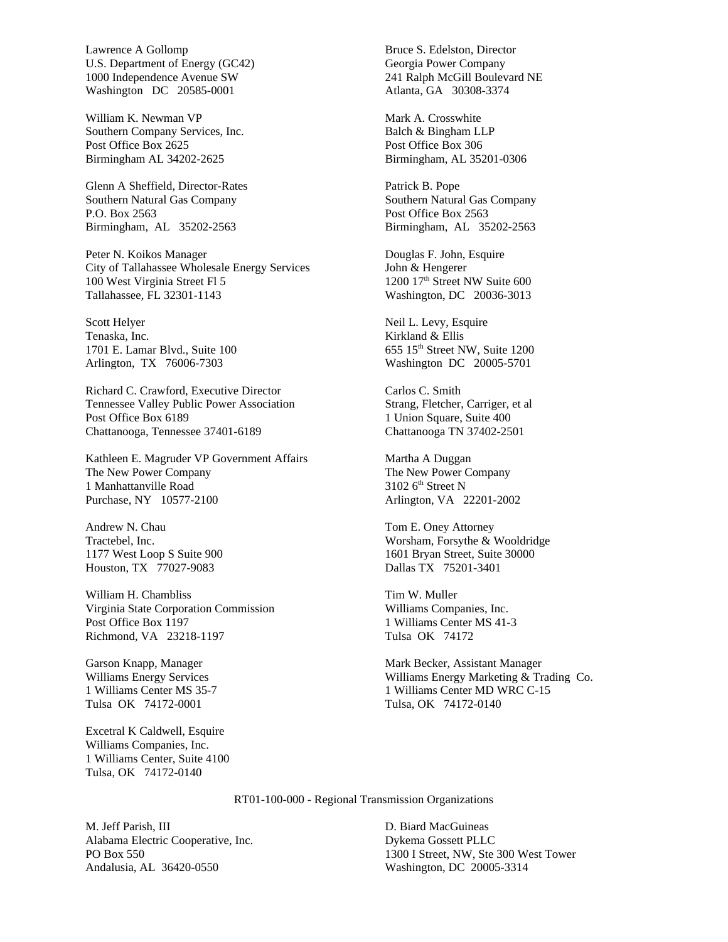Lawrence A Gollomp U.S. Department of Energy (GC42) 1000 Independence Avenue SW Washington DC 20585-0001

William K. Newman VP Southern Company Services, Inc. Post Office Box 2625 Birmingham AL 34202-2625

Glenn A Sheffield, Director-Rates Southern Natural Gas Company P.O. Box 2563 Birmingham, AL 35202-2563

Peter N. Koikos Manager City of Tallahassee Wholesale Energy Services 100 West Virginia Street Fl 5 Tallahassee, FL 32301-1143

Scott Helyer Tenaska, Inc. 1701 E. Lamar Blvd., Suite 100 Arlington, TX 76006-7303

Richard C. Crawford, Executive Director Tennessee Valley Public Power Association Post Office Box 6189 Chattanooga, Tennessee 37401-6189

Kathleen E. Magruder VP Government Affairs The New Power Company 1 Manhattanville Road Purchase, NY 10577-2100

Andrew N. Chau Tractebel, Inc. 1177 West Loop S Suite 900 Houston, TX 77027-9083

William H. Chambliss Virginia State Corporation Commission Post Office Box 1197 Richmond, VA 23218-1197

Garson Knapp, Manager Williams Energy Services 1 Williams Center MS 35-7 Tulsa OK 74172-0001

Excetral K Caldwell, Esquire Williams Companies, Inc. 1 Williams Center, Suite 4100 Tulsa, OK 74172-0140

Bruce S. Edelston, Director Georgia Power Company 241 Ralph McGill Boulevard NE Atlanta, GA 30308-3374

Mark A. Crosswhite Balch & Bingham LLP Post Office Box 306 Birmingham, AL 35201-0306

Patrick B. Pope Southern Natural Gas Company Post Office Box 2563 Birmingham, AL 35202-2563

Douglas F. John, Esquire John & Hengerer 1200 17<sup>th</sup> Street NW Suite 600 Washington, DC 20036-3013

Neil L. Levy, Esquire Kirkland & Ellis 655 15th Street NW, Suite 1200 Washington DC 20005-5701

Carlos C. Smith Strang, Fletcher, Carriger, et al 1 Union Square, Suite 400 Chattanooga TN 37402-2501

Martha A Duggan The New Power Company  $3102$  6<sup>th</sup> Street N Arlington, VA 22201-2002

Tom E. Oney Attorney Worsham, Forsythe & Wooldridge 1601 Bryan Street, Suite 30000 Dallas TX 75201-3401

Tim W. Muller Williams Companies, Inc. 1 Williams Center MS 41-3 Tulsa OK 74172

Mark Becker, Assistant Manager Williams Energy Marketing & Trading Co. 1 Williams Center MD WRC C-15 Tulsa, OK 74172-0140

RT01-100-000 - Regional Transmission Organizations

M. Jeff Parish, III Alabama Electric Cooperative, Inc. PO Box 550 Andalusia, AL 36420-0550

D. Biard MacGuineas Dykema Gossett PLLC 1300 I Street, NW, Ste 300 West Tower Washington, DC 20005-3314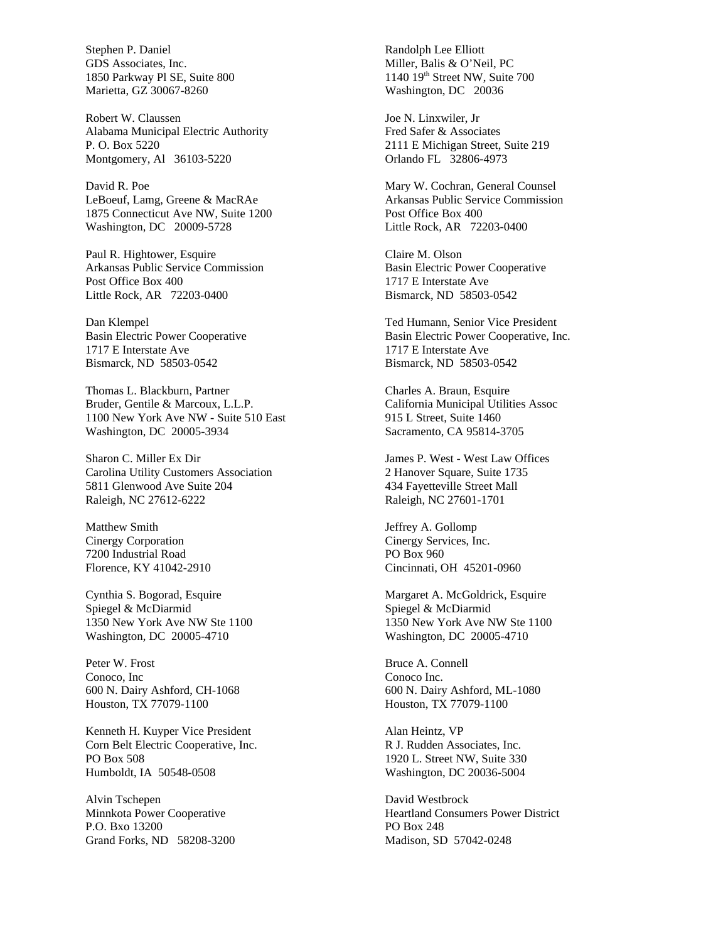Stephen P. Daniel GDS Associates, Inc. 1850 Parkway Pl SE, Suite 800 Marietta, GZ 30067-8260

Robert W. Claussen Alabama Municipal Electric Authority P. O. Box 5220 Montgomery, Al 36103-5220

David R. Poe LeBoeuf, Lamg, Greene & MacRAe 1875 Connecticut Ave NW, Suite 1200 Washington, DC 20009-5728

Paul R. Hightower, Esquire Arkansas Public Service Commission Post Office Box 400 Little Rock, AR 72203-0400

Dan Klempel Basin Electric Power Cooperative 1717 E Interstate Ave Bismarck, ND 58503-0542

Thomas L. Blackburn, Partner Bruder, Gentile & Marcoux, L.L.P. 1100 New York Ave NW - Suite 510 East Washington, DC 20005-3934

Sharon C. Miller Ex Dir Carolina Utility Customers Association 5811 Glenwood Ave Suite 204 Raleigh, NC 27612-6222

Matthew Smith Cinergy Corporation 7200 Industrial Road Florence, KY 41042-2910

Cynthia S. Bogorad, Esquire Spiegel & McDiarmid 1350 New York Ave NW Ste 1100 Washington, DC 20005-4710

Peter W. Frost Conoco, Inc 600 N. Dairy Ashford, CH-1068 Houston, TX 77079-1100

Kenneth H. Kuyper Vice President Corn Belt Electric Cooperative, Inc. PO Box 508 Humboldt, IA 50548-0508

Alvin Tschepen Minnkota Power Cooperative P.O. Bxo 13200 Grand Forks, ND 58208-3200 Randolph Lee Elliott Miller, Balis & O'Neil, PC 1140 19<sup>th</sup> Street NW, Suite 700 Washington, DC 20036

Joe N. Linxwiler, Jr Fred Safer & Associates 2111 E Michigan Street, Suite 219 Orlando FL 32806-4973

Mary W. Cochran, General Counsel Arkansas Public Service Commission Post Office Box 400 Little Rock, AR 72203-0400

Claire M. Olson Basin Electric Power Cooperative 1717 E Interstate Ave Bismarck, ND 58503-0542

Ted Humann, Senior Vice President Basin Electric Power Cooperative, Inc. 1717 E Interstate Ave Bismarck, ND 58503-0542

Charles A. Braun, Esquire California Municipal Utilities Assoc 915 L Street, Suite 1460 Sacramento, CA 95814-3705

James P. West - West Law Offices 2 Hanover Square, Suite 1735 434 Fayetteville Street Mall Raleigh, NC 27601-1701

Jeffrey A. Gollomp Cinergy Services, Inc. PO Box 960 Cincinnati, OH 45201-0960

Margaret A. McGoldrick, Esquire Spiegel & McDiarmid 1350 New York Ave NW Ste 1100 Washington, DC 20005-4710

Bruce A. Connell Conoco Inc. 600 N. Dairy Ashford, ML-1080 Houston, TX 77079-1100

Alan Heintz, VP R J. Rudden Associates, Inc. 1920 L. Street NW, Suite 330 Washington, DC 20036-5004

David Westbrock Heartland Consumers Power District PO Box 248 Madison, SD 57042-0248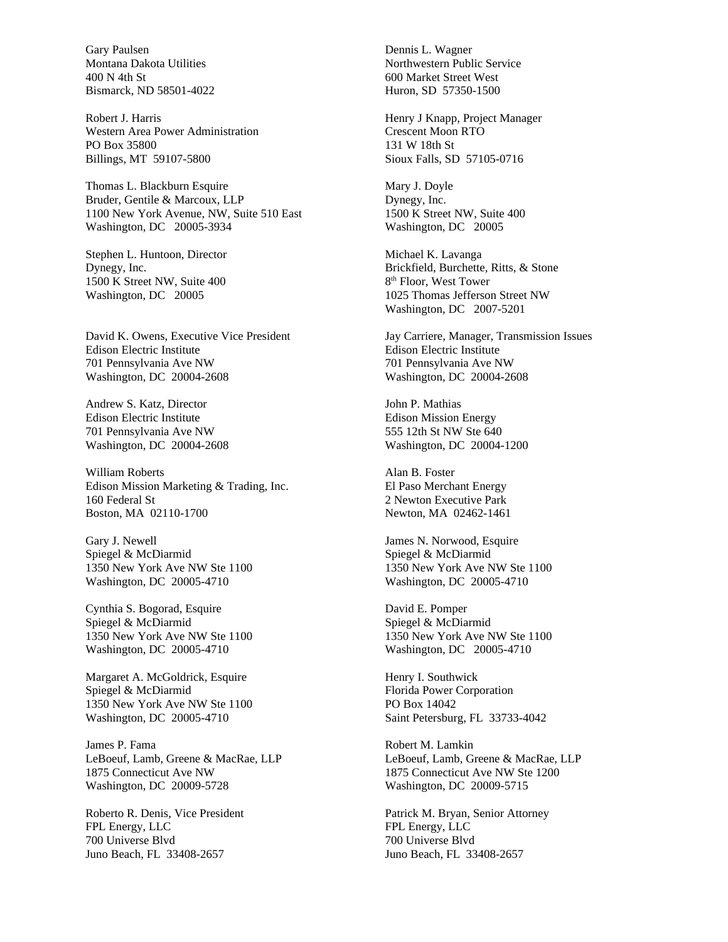Gary Paulsen Montana Dakota Utilities 400 N 4th St Bismarck, ND 58501-4022

Robert J. Harris Western Area Power Administration PO Box 35800 Billings, MT 59107-5800

Thomas L. Blackburn Esquire Bruder, Gentile & Marcoux, LLP 1100 New York Avenue, NW, Suite 510 East Washington, DC 20005-3934

Stephen L. Huntoon, Director Dynegy, Inc. 1500 K Street NW, Suite 400 Washington, DC 20005

David K. Owens, Executive Vice President Edison Electric Institute 701 Pennsylvania Ave NW Washington, DC 20004-2608

Andrew S. Katz, Director Edison Electric Institute 701 Pennsylvania Ave NW Washington, DC 20004-2608

William Roberts Edison Mission Marketing & Trading, Inc. 160 Federal St Boston, MA 02110-1700

Gary J. Newell Spiegel & McDiarmid 1350 New York Ave NW Ste 1100 Washington, DC 20005-4710

Cynthia S. Bogorad, Esquire Spiegel & McDiarmid 1350 New York Ave NW Ste 1100 Washington, DC 20005-4710

Margaret A. McGoldrick, Esquire Spiegel & McDiarmid 1350 New York Ave NW Ste 1100 Washington, DC 20005-4710

James P. Fama LeBoeuf, Lamb, Greene & MacRae, LLP 1875 Connecticut Ave NW Washington, DC 20009-5728

Roberto R. Denis, Vice President FPL Energy, LLC 700 Universe Blvd Juno Beach, FL 33408-2657

Dennis L. Wagner Northwestern Public Service 600 Market Street West Huron, SD 57350-1500

Henry J Knapp, Project Manager Crescent Moon RTO 131 W 18th St Sioux Falls, SD 57105-0716

Mary J. Doyle Dynegy, Inc. 1500 K Street NW, Suite 400 Washington, DC 20005

Michael K. Lavanga Brickfield, Burchette, Ritts, & Stone 8 th Floor, West Tower 1025 Thomas Jefferson Street NW Washington, DC 2007-5201

Jay Carriere, Manager, Transmission Issues Edison Electric Institute 701 Pennsylvania Ave NW Washington, DC 20004-2608

John P. Mathias Edison Mission Energy 555 12th St NW Ste 640 Washington, DC 20004-1200

Alan B. Foster El Paso Merchant Energy 2 Newton Executive Park Newton, MA 02462-1461

James N. Norwood, Esquire Spiegel & McDiarmid 1350 New York Ave NW Ste 1100 Washington, DC 20005-4710

David E. Pomper Spiegel & McDiarmid 1350 New York Ave NW Ste 1100 Washington, DC 20005-4710

Henry I. Southwick Florida Power Corporation PO Box 14042 Saint Petersburg, FL 33733-4042

Robert M. Lamkin LeBoeuf, Lamb, Greene & MacRae, LLP 1875 Connecticut Ave NW Ste 1200 Washington, DC 20009-5715

Patrick M. Bryan, Senior Attorney FPL Energy, LLC 700 Universe Blvd Juno Beach, FL 33408-2657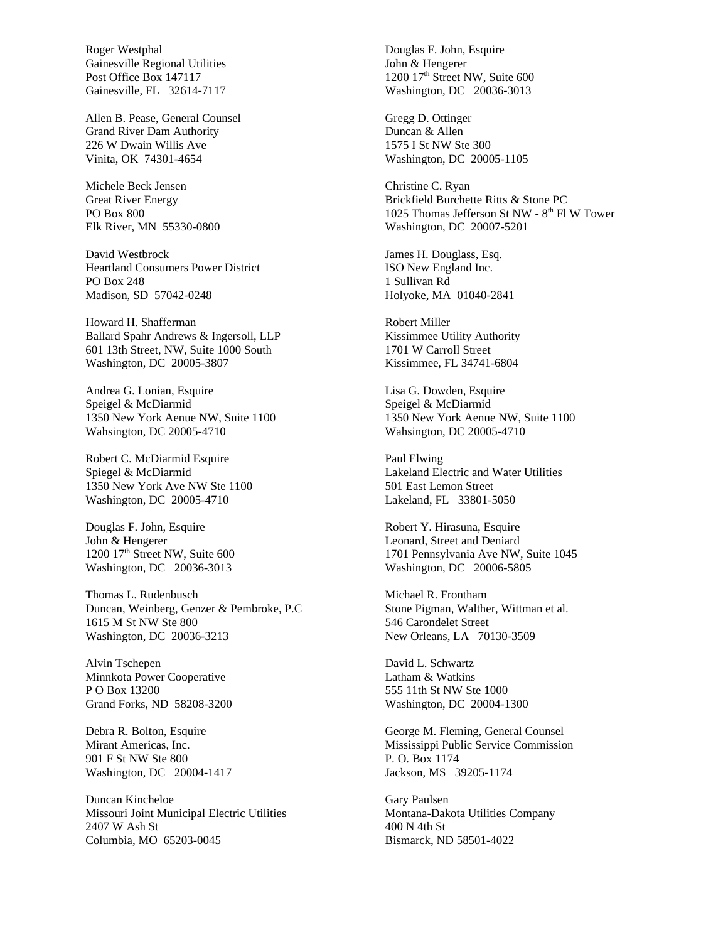Roger Westphal Gainesville Regional Utilities Post Office Box 147117 Gainesville, FL 32614-7117

Allen B. Pease, General Counsel Grand River Dam Authority 226 W Dwain Willis Ave Vinita, OK 74301-4654

Michele Beck Jensen Great River Energy PO Box 800 Elk River, MN 55330-0800

David Westbrock Heartland Consumers Power District PO Box 248 Madison, SD 57042-0248

Howard H. Shafferman Ballard Spahr Andrews & Ingersoll, LLP 601 13th Street, NW, Suite 1000 South Washington, DC 20005-3807

Andrea G. Lonian, Esquire Speigel & McDiarmid 1350 New York Aenue NW, Suite 1100 Wahsington, DC 20005-4710

Robert C. McDiarmid Esquire Spiegel & McDiarmid 1350 New York Ave NW Ste 1100 Washington, DC 20005-4710

Douglas F. John, Esquire John & Hengerer 1200 17<sup>th</sup> Street NW, Suite 600 Washington, DC 20036-3013

Thomas L. Rudenbusch Duncan, Weinberg, Genzer & Pembroke, P.C 1615 M St NW Ste 800 Washington, DC 20036-3213

Alvin Tschepen Minnkota Power Cooperative P O Box 13200 Grand Forks, ND 58208-3200

Debra R. Bolton, Esquire Mirant Americas, Inc. 901 F St NW Ste 800 Washington, DC 20004-1417

Duncan Kincheloe Missouri Joint Municipal Electric Utilities 2407 W Ash St Columbia, MO 65203-0045

Douglas F. John, Esquire John & Hengerer 1200 17<sup>th</sup> Street NW, Suite 600 Washington, DC 20036-3013

Gregg D. Ottinger Duncan & Allen 1575 I St NW Ste 300 Washington, DC 20005-1105

Christine C. Ryan Brickfield Burchette Ritts & Stone PC 1025 Thomas Jefferson St NW - 8<sup>th</sup> Fl W Tower Washington, DC 20007-5201

James H. Douglass, Esq. ISO New England Inc. 1 Sullivan Rd Holyoke, MA 01040-2841

Robert Miller Kissimmee Utility Authority 1701 W Carroll Street Kissimmee, FL 34741-6804

Lisa G. Dowden, Esquire Speigel & McDiarmid 1350 New York Aenue NW, Suite 1100 Wahsington, DC 20005-4710

Paul Elwing Lakeland Electric and Water Utilities 501 East Lemon Street Lakeland, FL 33801-5050

Robert Y. Hirasuna, Esquire Leonard, Street and Deniard 1701 Pennsylvania Ave NW, Suite 1045 Washington, DC 20006-5805

Michael R. Frontham Stone Pigman, Walther, Wittman et al. 546 Carondelet Street New Orleans, LA 70130-3509

David L. Schwartz Latham & Watkins 555 11th St NW Ste 1000 Washington, DC 20004-1300

George M. Fleming, General Counsel Mississippi Public Service Commission P. O. Box 1174 Jackson, MS 39205-1174

Gary Paulsen Montana-Dakota Utilities Company 400 N 4th St Bismarck, ND 58501-4022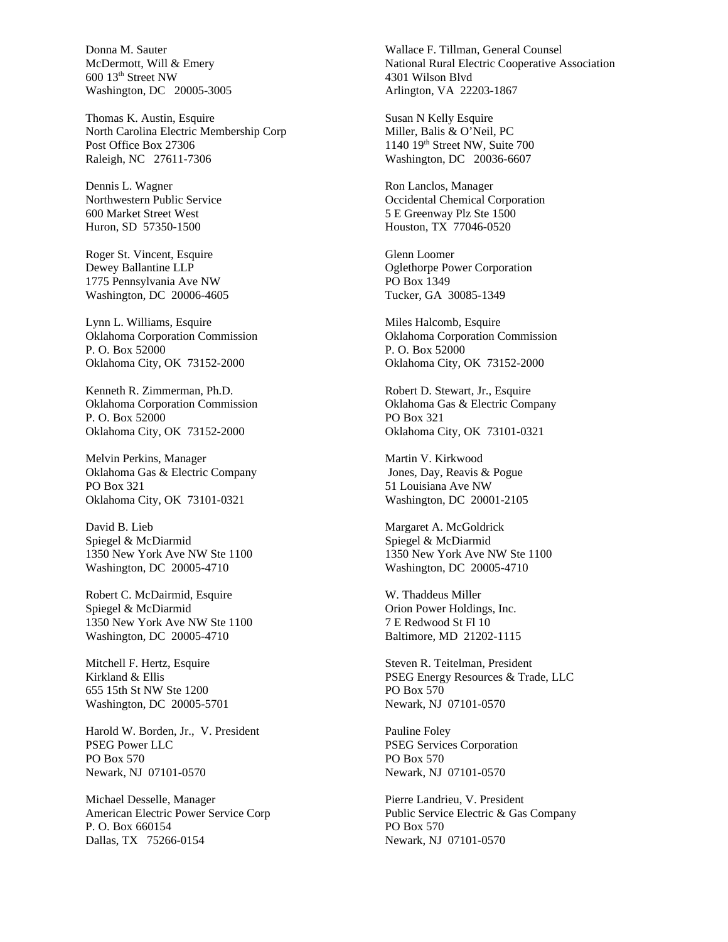Donna M. Sauter McDermott, Will & Emery 600 13th Street NW Washington, DC 20005-3005

Thomas K. Austin, Esquire North Carolina Electric Membership Corp Post Office Box 27306 Raleigh, NC 27611-7306

Dennis L. Wagner Northwestern Public Service 600 Market Street West Huron, SD 57350-1500

Roger St. Vincent, Esquire Dewey Ballantine LLP 1775 Pennsylvania Ave NW Washington, DC 20006-4605

Lynn L. Williams, Esquire Oklahoma Corporation Commission P. O. Box 52000 Oklahoma City, OK 73152-2000

Kenneth R. Zimmerman, Ph.D. Oklahoma Corporation Commission P. O. Box 52000 Oklahoma City, OK 73152-2000

Melvin Perkins, Manager Oklahoma Gas & Electric Company PO Box 321 Oklahoma City, OK 73101-0321

David B. Lieb Spiegel & McDiarmid 1350 New York Ave NW Ste 1100 Washington, DC 20005-4710

Robert C. McDairmid, Esquire Spiegel & McDiarmid 1350 New York Ave NW Ste 1100 Washington, DC 20005-4710

Mitchell F. Hertz, Esquire Kirkland & Ellis 655 15th St NW Ste 1200 Washington, DC 20005-5701

Harold W. Borden, Jr., V. President PSEG Power LLC PO Box 570 Newark, NJ 07101-0570

Michael Desselle, Manager American Electric Power Service Corp P. O. Box 660154 Dallas, TX 75266-0154

Wallace F. Tillman, General Counsel National Rural Electric Cooperative Association 4301 Wilson Blvd Arlington, VA 22203-1867

Susan N Kelly Esquire Miller, Balis & O'Neil, PC 1140 19<sup>th</sup> Street NW, Suite 700 Washington, DC 20036-6607

Ron Lanclos, Manager Occidental Chemical Corporation 5 E Greenway Plz Ste 1500 Houston, TX 77046-0520

Glenn Loomer Oglethorpe Power Corporation PO Box 1349 Tucker, GA 30085-1349

Miles Halcomb, Esquire Oklahoma Corporation Commission P. O. Box 52000 Oklahoma City, OK 73152-2000

Robert D. Stewart, Jr., Esquire Oklahoma Gas & Electric Company PO Box 321 Oklahoma City, OK 73101-0321

Martin V. Kirkwood Jones, Day, Reavis & Pogue 51 Louisiana Ave NW Washington, DC 20001-2105

Margaret A. McGoldrick Spiegel & McDiarmid 1350 New York Ave NW Ste 1100 Washington, DC 20005-4710

W. Thaddeus Miller Orion Power Holdings, Inc. 7 E Redwood St Fl 10 Baltimore, MD 21202-1115

Steven R. Teitelman, President PSEG Energy Resources & Trade, LLC PO Box 570 Newark, NJ 07101-0570

Pauline Foley PSEG Services Corporation PO Box 570 Newark, NJ 07101-0570

Pierre Landrieu, V. President Public Service Electric & Gas Company PO Box 570 Newark, NJ 07101-0570